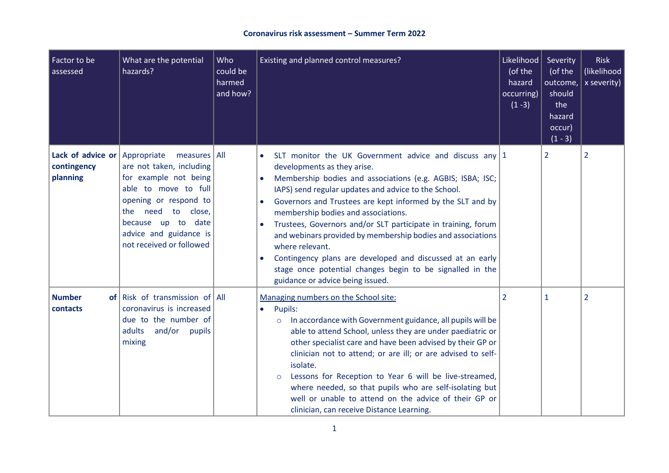# **Coronavirus risk assessment – Summer Term 2022**

| Factor to be<br>assessed                                 | What are the potential<br>hazards?                                                                                                                                                                                     | Who<br>could be<br>harmed<br>and how? | Existing and planned control measures?                                                                                                                                                                                                                                                                                                                                                                                                                                                                                                                                                                                                             | Likelihood<br>(of the<br>hazard<br>occurring)<br>$(1 - 3)$ | Severity<br>(of the<br>outcome,<br>should<br>the<br>hazard<br>occur)<br>$(1 - 3)$ | <b>Risk</b><br>(likelihood<br>x severity) |
|----------------------------------------------------------|------------------------------------------------------------------------------------------------------------------------------------------------------------------------------------------------------------------------|---------------------------------------|----------------------------------------------------------------------------------------------------------------------------------------------------------------------------------------------------------------------------------------------------------------------------------------------------------------------------------------------------------------------------------------------------------------------------------------------------------------------------------------------------------------------------------------------------------------------------------------------------------------------------------------------------|------------------------------------------------------------|-----------------------------------------------------------------------------------|-------------------------------------------|
| Lack of advice or Appropriate<br>contingency<br>planning | measures   All<br>are not taken, including<br>for example not being<br>able to move to full<br>opening or respond to<br>the need to close,<br>because up to date<br>advice and guidance is<br>not received or followed |                                       | SLT monitor the UK Government advice and discuss any $ 1 $<br>developments as they arise.<br>Membership bodies and associations (e.g. AGBIS; ISBA; ISC;<br>$\bullet$<br>IAPS) send regular updates and advice to the School.<br>Governors and Trustees are kept informed by the SLT and by<br>membership bodies and associations.<br>Trustees, Governors and/or SLT participate in training, forum<br>and webinars provided by membership bodies and associations<br>where relevant.<br>Contingency plans are developed and discussed at an early<br>stage once potential changes begin to be signalled in the<br>guidance or advice being issued. |                                                            | $\overline{2}$                                                                    | $\overline{2}$                            |
| <b>Number</b><br>contacts                                | of Risk of transmission of All<br>coronavirus is increased<br>due to the number of<br>and/or pupils<br>adults<br>mixing                                                                                                |                                       | Managing numbers on the School site:<br>Pupils:<br>$\bullet$<br>In accordance with Government guidance, all pupils will be<br>$\circ$<br>able to attend School, unless they are under paediatric or<br>other specialist care and have been advised by their GP or<br>clinician not to attend; or are ill; or are advised to self-<br>isolate.<br>Lessons for Reception to Year 6 will be live-streamed,<br>$\circ$<br>where needed, so that pupils who are self-isolating but<br>well or unable to attend on the advice of their GP or<br>clinician, can receive Distance Learning.                                                                | $\overline{2}$                                             | 1                                                                                 | $\overline{2}$                            |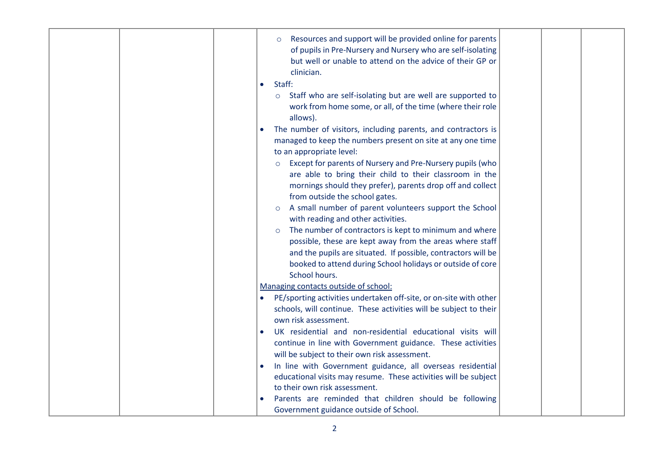| Resources and support will be provided online for parents<br>$\circ$<br>of pupils in Pre-Nursery and Nursery who are self-isolating<br>but well or unable to attend on the advice of their GP or<br>clinician.<br>Staff:<br>$\bullet$<br>Staff who are self-isolating but are well are supported to<br>$\circ$ |
|----------------------------------------------------------------------------------------------------------------------------------------------------------------------------------------------------------------------------------------------------------------------------------------------------------------|
| work from home some, or all, of the time (where their role<br>allows).<br>The number of visitors, including parents, and contractors is<br>$\bullet$<br>managed to keep the numbers present on site at any one time<br>to an appropriate level:                                                                |
| Except for parents of Nursery and Pre-Nursery pupils (who<br>$\circ$<br>are able to bring their child to their classroom in the<br>mornings should they prefer), parents drop off and collect<br>from outside the school gates.<br>A small number of parent volunteers support the School                      |
| with reading and other activities.<br>The number of contractors is kept to minimum and where<br>possible, these are kept away from the areas where staff<br>and the pupils are situated. If possible, contractors will be<br>booked to attend during School holidays or outside of core<br>School hours.       |
| Managing contacts outside of school:<br>PE/sporting activities undertaken off-site, or on-site with other<br>schools, will continue. These activities will be subject to their<br>own risk assessment.                                                                                                         |
| UK residential and non-residential educational visits will<br>$\bullet$<br>continue in line with Government guidance. These activities<br>will be subject to their own risk assessment.<br>In line with Government guidance, all overseas residential                                                          |
| educational visits may resume. These activities will be subject<br>to their own risk assessment.<br>Parents are reminded that children should be following<br>Government guidance outside of School.                                                                                                           |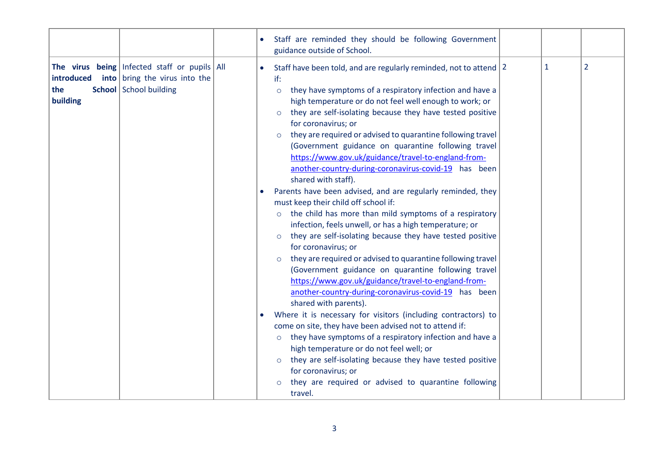|                 |                                                                                                                                        |           | Staff are reminded they should be following Government<br>guidance outside of School.                                                                                                                                                                                                                                                                                                                                                                                                                                                                                                                                                                                                                                                                                                                                                                                                                                                                                                                |   |                |
|-----------------|----------------------------------------------------------------------------------------------------------------------------------------|-----------|------------------------------------------------------------------------------------------------------------------------------------------------------------------------------------------------------------------------------------------------------------------------------------------------------------------------------------------------------------------------------------------------------------------------------------------------------------------------------------------------------------------------------------------------------------------------------------------------------------------------------------------------------------------------------------------------------------------------------------------------------------------------------------------------------------------------------------------------------------------------------------------------------------------------------------------------------------------------------------------------------|---|----------------|
| the<br>building | The virus being   Infected staff or pupils $ $ All<br><b>introduced into</b> bring the virus into the<br><b>School</b> School building |           | Staff have been told, and are regularly reminded, not to attend 2<br>if:<br>they have symptoms of a respiratory infection and have a<br>$\circ$<br>high temperature or do not feel well enough to work; or<br>they are self-isolating because they have tested positive<br>$\circ$<br>for coronavirus; or<br>they are required or advised to quarantine following travel<br>$\circ$<br>(Government guidance on quarantine following travel<br>https://www.gov.uk/guidance/travel-to-england-from-<br>another-country-during-coronavirus-covid-19 has been<br>shared with staff).                                                                                                                                                                                                                                                                                                                                                                                                                     | 1 | $\overline{2}$ |
|                 |                                                                                                                                        | $\bullet$ | Parents have been advised, and are regularly reminded, they<br>must keep their child off school if:<br>the child has more than mild symptoms of a respiratory<br>infection, feels unwell, or has a high temperature; or<br>they are self-isolating because they have tested positive<br>for coronavirus; or<br>they are required or advised to quarantine following travel<br>$\circ$<br>(Government guidance on quarantine following travel<br>https://www.gov.uk/guidance/travel-to-england-from-<br>another-country-during-coronavirus-covid-19 has been<br>shared with parents).<br>Where it is necessary for visitors (including contractors) to<br>come on site, they have been advised not to attend if:<br>they have symptoms of a respiratory infection and have a<br>$\circ$<br>high temperature or do not feel well; or<br>they are self-isolating because they have tested positive<br>$\circ$<br>for coronavirus; or<br>they are required or advised to quarantine following<br>travel. |   |                |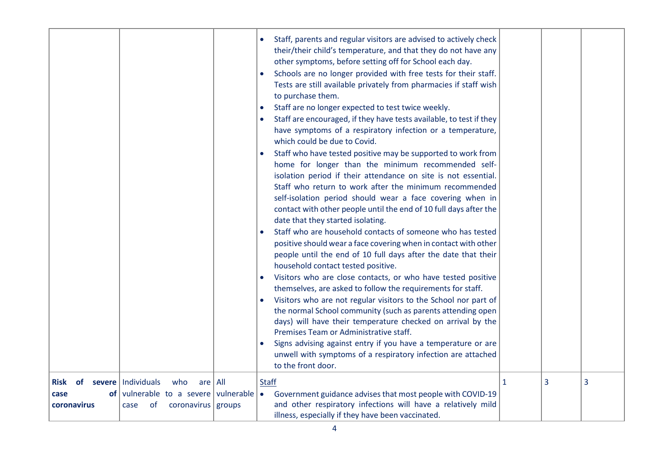|                                      |                                                                                                                               | Staff, parents and regular visitors are advised to actively check<br>$\bullet$<br>their/their child's temperature, and that they do not have any<br>other symptoms, before setting off for School each day.<br>Schools are no longer provided with free tests for their staff.<br>$\bullet$<br>Tests are still available privately from pharmacies if staff wish<br>to purchase them.<br>Staff are no longer expected to test twice weekly.<br>$\bullet$<br>Staff are encouraged, if they have tests available, to test if they<br>$\bullet$<br>have symptoms of a respiratory infection or a temperature,<br>which could be due to Covid.<br>Staff who have tested positive may be supported to work from<br>home for longer than the minimum recommended self-<br>isolation period if their attendance on site is not essential.<br>Staff who return to work after the minimum recommended<br>self-isolation period should wear a face covering when in<br>contact with other people until the end of 10 full days after the<br>date that they started isolating.<br>Staff who are household contacts of someone who has tested<br>positive should wear a face covering when in contact with other<br>people until the end of 10 full days after the date that their<br>household contact tested positive.<br>Visitors who are close contacts, or who have tested positive<br>$\bullet$<br>themselves, are asked to follow the requirements for staff.<br>Visitors who are not regular visitors to the School nor part of<br>the normal School community (such as parents attending open<br>days) will have their temperature checked on arrival by the<br>Premises Team or Administrative staff.<br>Signs advising against entry if you have a temperature or are<br>unwell with symptoms of a respiratory infection are attached<br>to the front door. |              |   |   |
|--------------------------------------|-------------------------------------------------------------------------------------------------------------------------------|------------------------------------------------------------------------------------------------------------------------------------------------------------------------------------------------------------------------------------------------------------------------------------------------------------------------------------------------------------------------------------------------------------------------------------------------------------------------------------------------------------------------------------------------------------------------------------------------------------------------------------------------------------------------------------------------------------------------------------------------------------------------------------------------------------------------------------------------------------------------------------------------------------------------------------------------------------------------------------------------------------------------------------------------------------------------------------------------------------------------------------------------------------------------------------------------------------------------------------------------------------------------------------------------------------------------------------------------------------------------------------------------------------------------------------------------------------------------------------------------------------------------------------------------------------------------------------------------------------------------------------------------------------------------------------------------------------------------------------------------------------------------------------------------------------------------------------------------------------|--------------|---|---|
| Risk of<br>of<br>case<br>coronavirus | severe   Individuals<br>who<br>are   All<br>vulnerable to a severe vulnerable $\bullet$<br>coronavirus   groups<br>0f<br>case | <b>Staff</b><br>Government guidance advises that most people with COVID-19<br>and other respiratory infections will have a relatively mild<br>illness, especially if they have been vaccinated.                                                                                                                                                                                                                                                                                                                                                                                                                                                                                                                                                                                                                                                                                                                                                                                                                                                                                                                                                                                                                                                                                                                                                                                                                                                                                                                                                                                                                                                                                                                                                                                                                                                            | $\mathbf{1}$ | 3 | 3 |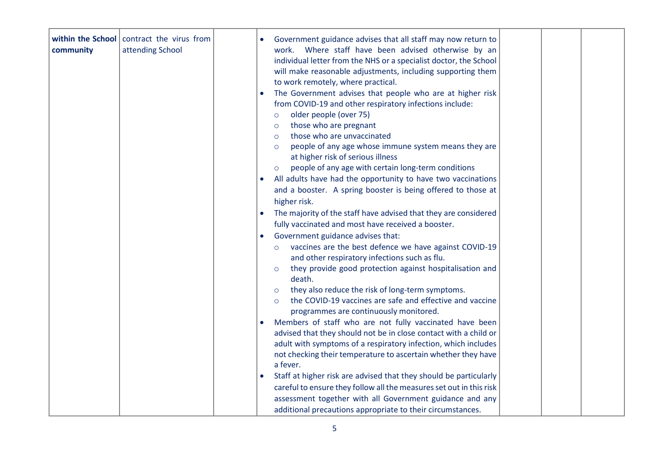| within the School   contract the virus from<br>attending School<br>community | Government guidance advises that all staff may now return to<br>work. Where staff have been advised otherwise by an<br>individual letter from the NHS or a specialist doctor, the School<br>will make reasonable adjustments, including supporting them<br>to work remotely, where practical.<br>The Government advises that people who are at higher risk<br>from COVID-19 and other respiratory infections include:<br>older people (over 75)<br>$\circ$<br>those who are pregnant<br>$\circ$<br>those who are unvaccinated<br>$\circ$<br>people of any age whose immune system means they are<br>$\circ$<br>at higher risk of serious illness<br>people of any age with certain long-term conditions<br>$\circ$<br>All adults have had the opportunity to have two vaccinations<br>and a booster. A spring booster is being offered to those at<br>higher risk.<br>The majority of the staff have advised that they are considered<br>$\bullet$<br>fully vaccinated and most have received a booster.<br>Government guidance advises that:<br>vaccines are the best defence we have against COVID-19<br>$\circ$<br>and other respiratory infections such as flu.<br>they provide good protection against hospitalisation and<br>$\circ$<br>death.<br>they also reduce the risk of long-term symptoms.<br>$\circ$<br>the COVID-19 vaccines are safe and effective and vaccine<br>$\Omega$<br>programmes are continuously monitored.<br>Members of staff who are not fully vaccinated have been<br>advised that they should not be in close contact with a child or<br>adult with symptoms of a respiratory infection, which includes<br>not checking their temperature to ascertain whether they have<br>a fever.<br>Staff at higher risk are advised that they should be particularly<br>careful to ensure they follow all the measures set out in this risk<br>assessment together with all Government guidance and any<br>additional precautions appropriate to their circumstances. |
|------------------------------------------------------------------------------|-------------------------------------------------------------------------------------------------------------------------------------------------------------------------------------------------------------------------------------------------------------------------------------------------------------------------------------------------------------------------------------------------------------------------------------------------------------------------------------------------------------------------------------------------------------------------------------------------------------------------------------------------------------------------------------------------------------------------------------------------------------------------------------------------------------------------------------------------------------------------------------------------------------------------------------------------------------------------------------------------------------------------------------------------------------------------------------------------------------------------------------------------------------------------------------------------------------------------------------------------------------------------------------------------------------------------------------------------------------------------------------------------------------------------------------------------------------------------------------------------------------------------------------------------------------------------------------------------------------------------------------------------------------------------------------------------------------------------------------------------------------------------------------------------------------------------------------------------------------------------------------------------------------------------------------------------------------------------------------------|
|------------------------------------------------------------------------------|-------------------------------------------------------------------------------------------------------------------------------------------------------------------------------------------------------------------------------------------------------------------------------------------------------------------------------------------------------------------------------------------------------------------------------------------------------------------------------------------------------------------------------------------------------------------------------------------------------------------------------------------------------------------------------------------------------------------------------------------------------------------------------------------------------------------------------------------------------------------------------------------------------------------------------------------------------------------------------------------------------------------------------------------------------------------------------------------------------------------------------------------------------------------------------------------------------------------------------------------------------------------------------------------------------------------------------------------------------------------------------------------------------------------------------------------------------------------------------------------------------------------------------------------------------------------------------------------------------------------------------------------------------------------------------------------------------------------------------------------------------------------------------------------------------------------------------------------------------------------------------------------------------------------------------------------------------------------------------------------|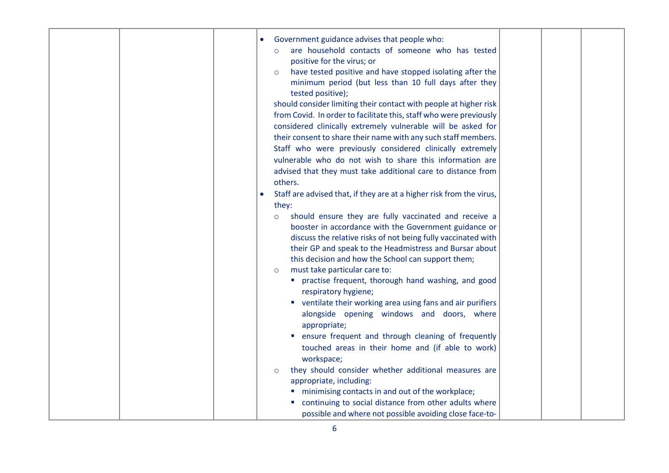| Government guidance advises that people who:<br>are household contacts of someone who has tested<br>$\circ$<br>positive for the virus; or<br>have tested positive and have stopped isolating after the<br>$\circ$<br>minimum period (but less than 10 full days after they<br>tested positive);<br>should consider limiting their contact with people at higher risk<br>from Covid. In order to facilitate this, staff who were previously<br>considered clinically extremely vulnerable will be asked for<br>their consent to share their name with any such staff members.<br>Staff who were previously considered clinically extremely<br>vulnerable who do not wish to share this information are<br>advised that they must take additional care to distance from<br>others.<br>Staff are advised that, if they are at a higher risk from the virus,<br>$\bullet$<br>they:<br>should ensure they are fully vaccinated and receive a<br>$\circ$<br>booster in accordance with the Government guidance or<br>discuss the relative risks of not being fully vaccinated with<br>their GP and speak to the Headmistress and Bursar about<br>this decision and how the School can support them;<br>must take particular care to:<br>$\circ$<br>• practise frequent, thorough hand washing, and good<br>respiratory hygiene;<br>• ventilate their working area using fans and air purifiers<br>alongside opening windows and doors, where<br>appropriate;<br>ensure frequent and through cleaning of frequently<br>touched areas in their home and (if able to work)<br>workspace;<br>they should consider whether additional measures are<br>$\circ$ |  |
|----------------------------------------------------------------------------------------------------------------------------------------------------------------------------------------------------------------------------------------------------------------------------------------------------------------------------------------------------------------------------------------------------------------------------------------------------------------------------------------------------------------------------------------------------------------------------------------------------------------------------------------------------------------------------------------------------------------------------------------------------------------------------------------------------------------------------------------------------------------------------------------------------------------------------------------------------------------------------------------------------------------------------------------------------------------------------------------------------------------------------------------------------------------------------------------------------------------------------------------------------------------------------------------------------------------------------------------------------------------------------------------------------------------------------------------------------------------------------------------------------------------------------------------------------------------------------------------------------------------------------------------------------|--|
| appropriate, including:<br>minimising contacts in and out of the workplace;<br>continuing to social distance from other adults where<br>possible and where not possible avoiding close face-to-                                                                                                                                                                                                                                                                                                                                                                                                                                                                                                                                                                                                                                                                                                                                                                                                                                                                                                                                                                                                                                                                                                                                                                                                                                                                                                                                                                                                                                                    |  |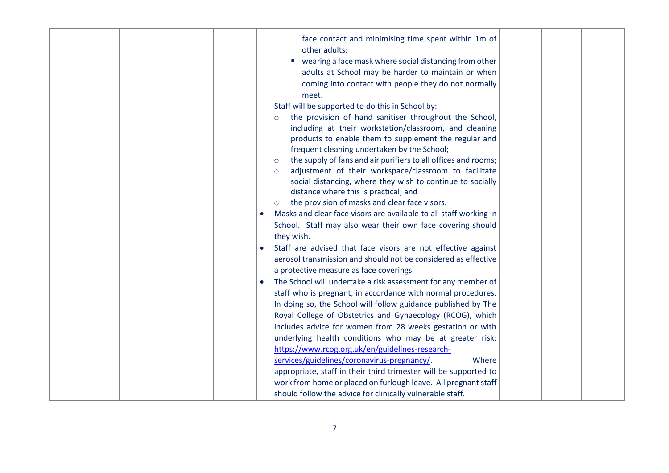| face contact and minimising time spent within 1m of<br>other adults;<br>" wearing a face mask where social distancing from other<br>adults at School may be harder to maintain or when<br>coming into contact with people they do not normally<br>meet.<br>Staff will be supported to do this in School by:<br>the provision of hand sanitiser throughout the School,<br>$\circ$<br>including at their workstation/classroom, and cleaning<br>products to enable them to supplement the regular and<br>frequent cleaning undertaken by the School;<br>the supply of fans and air purifiers to all offices and rooms;<br>$\circ$<br>adjustment of their workspace/classroom to facilitate<br>$\circ$<br>social distancing, where they wish to continue to socially<br>distance where this is practical; and<br>the provision of masks and clear face visors.<br>$\circ$<br>Masks and clear face visors are available to all staff working in<br>$\bullet$<br>School. Staff may also wear their own face covering should<br>they wish.<br>Staff are advised that face visors are not effective against<br>$\bullet$<br>aerosol transmission and should not be considered as effective<br>a protective measure as face coverings.<br>The School will undertake a risk assessment for any member of<br>staff who is pregnant, in accordance with normal procedures.<br>In doing so, the School will follow guidance published by The<br>Royal College of Obstetrics and Gynaecology (RCOG), which<br>includes advice for women from 28 weeks gestation or with<br>underlying health conditions who may be at greater risk:<br>https://www.rcog.org.uk/en/guidelines-research-<br>services/guidelines/coronavirus-pregnancy/.<br>Where |  |
|-----------------------------------------------------------------------------------------------------------------------------------------------------------------------------------------------------------------------------------------------------------------------------------------------------------------------------------------------------------------------------------------------------------------------------------------------------------------------------------------------------------------------------------------------------------------------------------------------------------------------------------------------------------------------------------------------------------------------------------------------------------------------------------------------------------------------------------------------------------------------------------------------------------------------------------------------------------------------------------------------------------------------------------------------------------------------------------------------------------------------------------------------------------------------------------------------------------------------------------------------------------------------------------------------------------------------------------------------------------------------------------------------------------------------------------------------------------------------------------------------------------------------------------------------------------------------------------------------------------------------------------------------------------------------------------------------------------------------------------|--|
| appropriate, staff in their third trimester will be supported to<br>work from home or placed on furlough leave. All pregnant staff<br>should follow the advice for clinically vulnerable staff.                                                                                                                                                                                                                                                                                                                                                                                                                                                                                                                                                                                                                                                                                                                                                                                                                                                                                                                                                                                                                                                                                                                                                                                                                                                                                                                                                                                                                                                                                                                                   |  |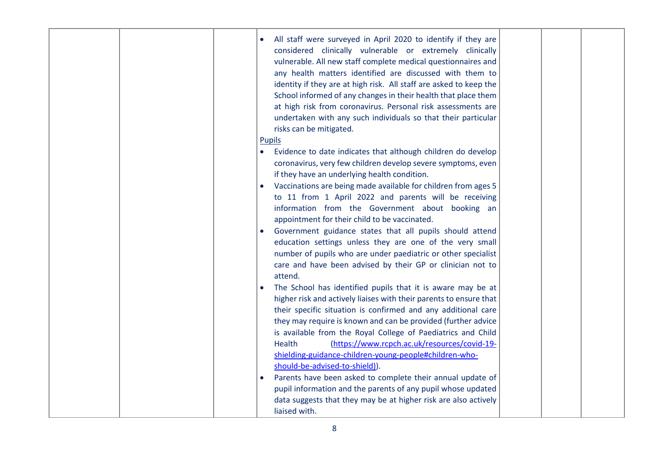|  | All staff were surveyed in April 2020 to identify if they are<br>considered clinically vulnerable or extremely clinically<br>vulnerable. All new staff complete medical questionnaires and<br>any health matters identified are discussed with them to<br>identity if they are at high risk. All staff are asked to keep the<br>School informed of any changes in their health that place them<br>at high risk from coronavirus. Personal risk assessments are<br>undertaken with any such individuals so that their particular<br>risks can be mitigated.<br><b>Pupils</b> |
|--|-----------------------------------------------------------------------------------------------------------------------------------------------------------------------------------------------------------------------------------------------------------------------------------------------------------------------------------------------------------------------------------------------------------------------------------------------------------------------------------------------------------------------------------------------------------------------------|
|  | Evidence to date indicates that although children do develop<br>$\bullet$<br>coronavirus, very few children develop severe symptoms, even<br>if they have an underlying health condition.                                                                                                                                                                                                                                                                                                                                                                                   |
|  | Vaccinations are being made available for children from ages 5<br>to 11 from 1 April 2022 and parents will be receiving<br>information from the Government about booking an<br>appointment for their child to be vaccinated.                                                                                                                                                                                                                                                                                                                                                |
|  | Government guidance states that all pupils should attend<br>education settings unless they are one of the very small<br>number of pupils who are under paediatric or other specialist<br>care and have been advised by their GP or clinician not to<br>attend.                                                                                                                                                                                                                                                                                                              |
|  | The School has identified pupils that it is aware may be at<br>higher risk and actively liaises with their parents to ensure that<br>their specific situation is confirmed and any additional care<br>they may require is known and can be provided (further advice<br>is available from the Royal College of Paediatrics and Child<br>(https://www.rcpch.ac.uk/resources/covid-19-<br>Health<br>shielding-guidance-children-young-people#children-who-<br>should-be-advised-to-shield)).                                                                                   |
|  | Parents have been asked to complete their annual update of<br>pupil information and the parents of any pupil whose updated<br>data suggests that they may be at higher risk are also actively<br>liaised with.                                                                                                                                                                                                                                                                                                                                                              |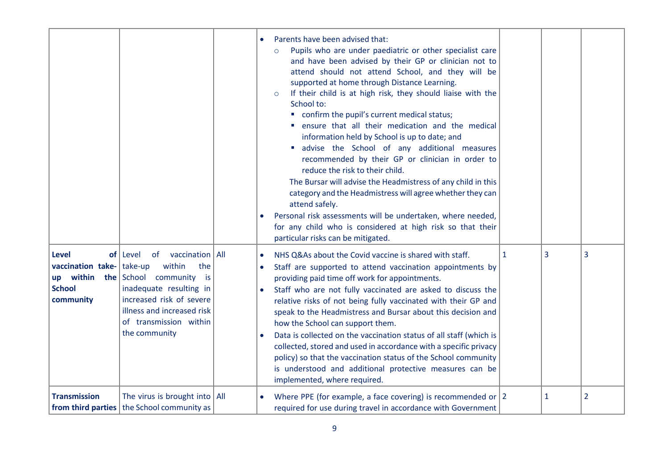| <b>Level</b><br><b>vaccination take-</b> take-up<br>up within<br><b>School</b><br>community | of Level<br>of vaccination   All<br>within<br>the<br>the School community is<br>inadequate resulting in<br>increased risk of severe<br>illness and increased risk<br>of transmission within<br>the community | Parents have been advised that:<br>Pupils who are under paediatric or other specialist care<br>$\circ$<br>and have been advised by their GP or clinician not to<br>attend should not attend School, and they will be<br>supported at home through Distance Learning.<br>If their child is at high risk, they should liaise with the<br>$\circ$<br>School to:<br>confirm the pupil's current medical status;<br>ensure that all their medication and the medical<br>information held by School is up to date; and<br>advise the School of any additional measures<br>recommended by their GP or clinician in order to<br>reduce the risk to their child.<br>The Bursar will advise the Headmistress of any child in this<br>category and the Headmistress will agree whether they can<br>attend safely.<br>Personal risk assessments will be undertaken, where needed,<br>for any child who is considered at high risk so that their<br>particular risks can be mitigated.<br>NHS Q&As about the Covid vaccine is shared with staff.<br>Staff are supported to attend vaccination appointments by<br>providing paid time off work for appointments.<br>Staff who are not fully vaccinated are asked to discuss the<br>relative risks of not being fully vaccinated with their GP and<br>speak to the Headmistress and Bursar about this decision and<br>how the School can support them.<br>Data is collected on the vaccination status of all staff (which is<br>$\bullet$ | $\mathbf{1}$ | 3            | 3              |
|---------------------------------------------------------------------------------------------|--------------------------------------------------------------------------------------------------------------------------------------------------------------------------------------------------------------|----------------------------------------------------------------------------------------------------------------------------------------------------------------------------------------------------------------------------------------------------------------------------------------------------------------------------------------------------------------------------------------------------------------------------------------------------------------------------------------------------------------------------------------------------------------------------------------------------------------------------------------------------------------------------------------------------------------------------------------------------------------------------------------------------------------------------------------------------------------------------------------------------------------------------------------------------------------------------------------------------------------------------------------------------------------------------------------------------------------------------------------------------------------------------------------------------------------------------------------------------------------------------------------------------------------------------------------------------------------------------------------------------------------------------------------------------------------------------|--------------|--------------|----------------|
|                                                                                             |                                                                                                                                                                                                              | collected, stored and used in accordance with a specific privacy<br>policy) so that the vaccination status of the School community<br>is understood and additional protective measures can be<br>implemented, where required.                                                                                                                                                                                                                                                                                                                                                                                                                                                                                                                                                                                                                                                                                                                                                                                                                                                                                                                                                                                                                                                                                                                                                                                                                                              |              |              |                |
| <b>Transmission</b>                                                                         | The virus is brought into $ $ All<br>from third parties   the School community as                                                                                                                            | Where PPE (for example, a face covering) is recommended or $ 2$<br>required for use during travel in accordance with Government                                                                                                                                                                                                                                                                                                                                                                                                                                                                                                                                                                                                                                                                                                                                                                                                                                                                                                                                                                                                                                                                                                                                                                                                                                                                                                                                            |              | $\mathbf{1}$ | $\overline{2}$ |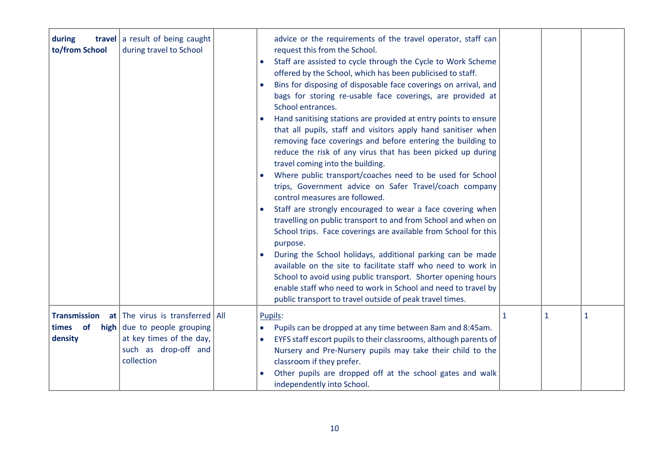| <b>travel</b> a result of being caught<br>during<br>to/from School                                                         | during travel to School                          | advice or the requirements of the travel operator, staff can<br>request this from the School.<br>Staff are assisted to cycle through the Cycle to Work Scheme<br>offered by the School, which has been publicised to staff.<br>Bins for disposing of disposable face coverings on arrival, and<br>bags for storing re-usable face coverings, are provided at<br>School entrances.<br>Hand sanitising stations are provided at entry points to ensure<br>that all pupils, staff and visitors apply hand sanitiser when<br>removing face coverings and before entering the building to<br>reduce the risk of any virus that has been picked up during<br>travel coming into the building.<br>Where public transport/coaches need to be used for School<br>trips, Government advice on Safer Travel/coach company<br>control measures are followed.<br>Staff are strongly encouraged to wear a face covering when<br>travelling on public transport to and from School and when on<br>School trips. Face coverings are available from School for this<br>purpose.<br>During the School holidays, additional parking can be made<br>available on the site to facilitate staff who need to work in<br>School to avoid using public transport. Shorter opening hours<br>enable staff who need to work in School and need to travel by<br>public transport to travel outside of peak travel times. |              |             |              |
|----------------------------------------------------------------------------------------------------------------------------|--------------------------------------------------|---------------------------------------------------------------------------------------------------------------------------------------------------------------------------------------------------------------------------------------------------------------------------------------------------------------------------------------------------------------------------------------------------------------------------------------------------------------------------------------------------------------------------------------------------------------------------------------------------------------------------------------------------------------------------------------------------------------------------------------------------------------------------------------------------------------------------------------------------------------------------------------------------------------------------------------------------------------------------------------------------------------------------------------------------------------------------------------------------------------------------------------------------------------------------------------------------------------------------------------------------------------------------------------------------------------------------------------------------------------------------------------------|--------------|-------------|--------------|
| <b>Transmission</b> at The virus is transferred All<br>times of<br>high $du$ e to people grouping<br>density<br>collection | at key times of the day,<br>such as drop-off and | Pupils:<br>Pupils can be dropped at any time between 8am and 8:45am.<br>EYFS staff escort pupils to their classrooms, although parents of<br>Nursery and Pre-Nursery pupils may take their child to the<br>classroom if they prefer.<br>Other pupils are dropped off at the school gates and walk<br>independently into School.                                                                                                                                                                                                                                                                                                                                                                                                                                                                                                                                                                                                                                                                                                                                                                                                                                                                                                                                                                                                                                                             | $\mathbf{1}$ | $\mathbf 1$ | $\mathbf{1}$ |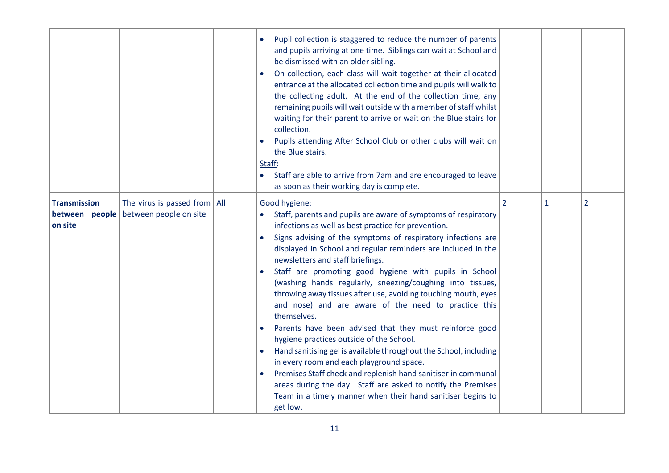|                                                  |                                                                | Pupil collection is staggered to reduce the number of parents<br>and pupils arriving at one time. Siblings can wait at School and<br>be dismissed with an older sibling.<br>On collection, each class will wait together at their allocated<br>entrance at the allocated collection time and pupils will walk to<br>the collecting adult. At the end of the collection time, any<br>remaining pupils will wait outside with a member of staff whilst<br>waiting for their parent to arrive or wait on the Blue stairs for<br>collection.<br>Pupils attending After School Club or other clubs will wait on<br>the Blue stairs.<br>Staff:<br>Staff are able to arrive from 7am and are encouraged to leave<br>$\bullet$<br>as soon as their working day is complete.                                                                                                                                                                                                                                             |                |              |                |
|--------------------------------------------------|----------------------------------------------------------------|-----------------------------------------------------------------------------------------------------------------------------------------------------------------------------------------------------------------------------------------------------------------------------------------------------------------------------------------------------------------------------------------------------------------------------------------------------------------------------------------------------------------------------------------------------------------------------------------------------------------------------------------------------------------------------------------------------------------------------------------------------------------------------------------------------------------------------------------------------------------------------------------------------------------------------------------------------------------------------------------------------------------|----------------|--------------|----------------|
| <b>Transmission</b><br>between people<br>on site | The virus is passed from $\vert$ All<br>between people on site | Good hygiene:<br>Staff, parents and pupils are aware of symptoms of respiratory<br>infections as well as best practice for prevention.<br>Signs advising of the symptoms of respiratory infections are<br>displayed in School and regular reminders are included in the<br>newsletters and staff briefings.<br>Staff are promoting good hygiene with pupils in School<br>(washing hands regularly, sneezing/coughing into tissues,<br>throwing away tissues after use, avoiding touching mouth, eyes<br>and nose) and are aware of the need to practice this<br>themselves.<br>Parents have been advised that they must reinforce good<br>hygiene practices outside of the School.<br>Hand sanitising gel is available throughout the School, including<br>in every room and each playground space.<br>Premises Staff check and replenish hand sanitiser in communal<br>areas during the day. Staff are asked to notify the Premises<br>Team in a timely manner when their hand sanitiser begins to<br>get low. | $\overline{2}$ | $\mathbf{1}$ | $\overline{2}$ |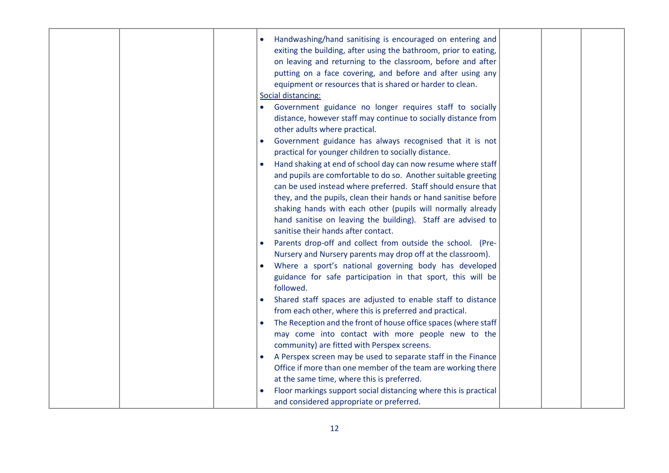|  | Handwashing/hand sanitising is encouraged on entering and<br>exiting the building, after using the bathroom, prior to eating,<br>on leaving and returning to the classroom, before and after<br>putting on a face covering, and before and after using any<br>equipment or resources that is shared or harder to clean.<br>Social distancing:<br>Government guidance no longer requires staff to socially<br>distance, however staff may continue to socially distance from<br>other adults where practical.<br>Government guidance has always recognised that it is not<br>practical for younger children to socially distance.<br>Hand shaking at end of school day can now resume where staff<br>and pupils are comfortable to do so. Another suitable greeting<br>can be used instead where preferred. Staff should ensure that<br>they, and the pupils, clean their hands or hand sanitise before<br>shaking hands with each other (pupils will normally already<br>hand sanitise on leaving the building). Staff are advised to<br>sanitise their hands after contact.<br>Parents drop-off and collect from outside the school. (Pre-<br>Nursery and Nursery parents may drop off at the classroom).<br>Where a sport's national governing body has developed<br>guidance for safe participation in that sport, this will be<br>followed.<br>Shared staff spaces are adjusted to enable staff to distance<br>from each other, where this is preferred and practical. |  |
|--|----------------------------------------------------------------------------------------------------------------------------------------------------------------------------------------------------------------------------------------------------------------------------------------------------------------------------------------------------------------------------------------------------------------------------------------------------------------------------------------------------------------------------------------------------------------------------------------------------------------------------------------------------------------------------------------------------------------------------------------------------------------------------------------------------------------------------------------------------------------------------------------------------------------------------------------------------------------------------------------------------------------------------------------------------------------------------------------------------------------------------------------------------------------------------------------------------------------------------------------------------------------------------------------------------------------------------------------------------------------------------------------------------------------------------------------------------------------------------|--|
|  |                                                                                                                                                                                                                                                                                                                                                                                                                                                                                                                                                                                                                                                                                                                                                                                                                                                                                                                                                                                                                                                                                                                                                                                                                                                                                                                                                                                                                                                                            |  |
|  | The Reception and the front of house office spaces (where staff<br>may come into contact with more people new to the<br>community) are fitted with Perspex screens.                                                                                                                                                                                                                                                                                                                                                                                                                                                                                                                                                                                                                                                                                                                                                                                                                                                                                                                                                                                                                                                                                                                                                                                                                                                                                                        |  |
|  | A Perspex screen may be used to separate staff in the Finance                                                                                                                                                                                                                                                                                                                                                                                                                                                                                                                                                                                                                                                                                                                                                                                                                                                                                                                                                                                                                                                                                                                                                                                                                                                                                                                                                                                                              |  |
|  | Office if more than one member of the team are working there                                                                                                                                                                                                                                                                                                                                                                                                                                                                                                                                                                                                                                                                                                                                                                                                                                                                                                                                                                                                                                                                                                                                                                                                                                                                                                                                                                                                               |  |
|  | at the same time, where this is preferred.<br>Floor markings support social distancing where this is practical                                                                                                                                                                                                                                                                                                                                                                                                                                                                                                                                                                                                                                                                                                                                                                                                                                                                                                                                                                                                                                                                                                                                                                                                                                                                                                                                                             |  |
|  | and considered appropriate or preferred.                                                                                                                                                                                                                                                                                                                                                                                                                                                                                                                                                                                                                                                                                                                                                                                                                                                                                                                                                                                                                                                                                                                                                                                                                                                                                                                                                                                                                                   |  |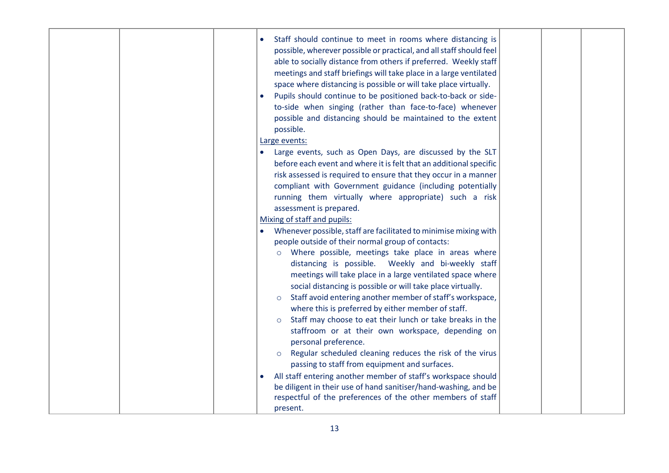| Staff should continue to meet in rooms where distancing is<br>possible, wherever possible or practical, and all staff should feel<br>able to socially distance from others if preferred. Weekly staff<br>meetings and staff briefings will take place in a large ventilated<br>space where distancing is possible or will take place virtually.<br>Pupils should continue to be positioned back-to-back or side-<br>to-side when singing (rather than face-to-face) whenever<br>possible and distancing should be maintained to the extent<br>possible.<br>Large events:<br>Large events, such as Open Days, are discussed by the SLT<br>before each event and where it is felt that an additional specific<br>risk assessed is required to ensure that they occur in a manner       |
|--------------------------------------------------------------------------------------------------------------------------------------------------------------------------------------------------------------------------------------------------------------------------------------------------------------------------------------------------------------------------------------------------------------------------------------------------------------------------------------------------------------------------------------------------------------------------------------------------------------------------------------------------------------------------------------------------------------------------------------------------------------------------------------|
| compliant with Government guidance (including potentially<br>running them virtually where appropriate) such a risk<br>assessment is prepared.<br>Mixing of staff and pupils:                                                                                                                                                                                                                                                                                                                                                                                                                                                                                                                                                                                                         |
| Whenever possible, staff are facilitated to minimise mixing with<br>people outside of their normal group of contacts:<br>Where possible, meetings take place in areas where<br>$\circ$<br>distancing is possible. Weekly and bi-weekly staff<br>meetings will take place in a large ventilated space where<br>social distancing is possible or will take place virtually.<br>Staff avoid entering another member of staff's workspace,<br>$\circ$<br>where this is preferred by either member of staff.<br>Staff may choose to eat their lunch or take breaks in the<br>$\circ$<br>staffroom or at their own workspace, depending on<br>personal preference.<br>Regular scheduled cleaning reduces the risk of the virus<br>$\circ$<br>passing to staff from equipment and surfaces. |
| All staff entering another member of staff's workspace should<br>be diligent in their use of hand sanitiser/hand-washing, and be<br>respectful of the preferences of the other members of staff<br>present.                                                                                                                                                                                                                                                                                                                                                                                                                                                                                                                                                                          |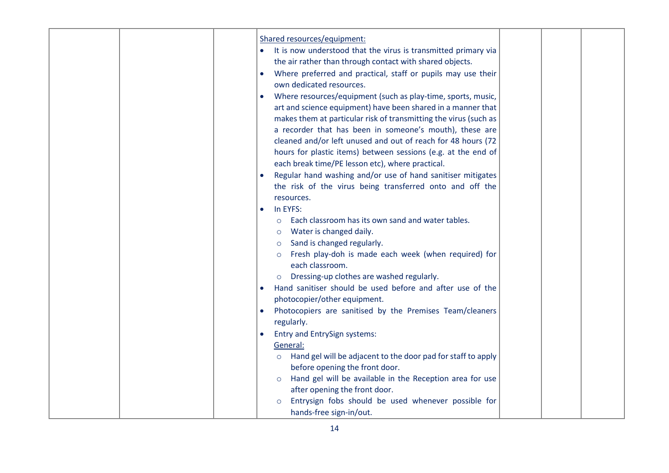| Shared resources/equipment:<br>It is now understood that the virus is transmitted primary via<br>$\bullet$ |  |
|------------------------------------------------------------------------------------------------------------|--|
| the air rather than through contact with shared objects.                                                   |  |
| Where preferred and practical, staff or pupils may use their                                               |  |
| own dedicated resources.                                                                                   |  |
| Where resources/equipment (such as play-time, sports, music,<br>$\bullet$                                  |  |
| art and science equipment) have been shared in a manner that                                               |  |
| makes them at particular risk of transmitting the virus (such as                                           |  |
| a recorder that has been in someone's mouth), these are                                                    |  |
| cleaned and/or left unused and out of reach for 48 hours (72                                               |  |
| hours for plastic items) between sessions (e.g. at the end of                                              |  |
| each break time/PE lesson etc), where practical.                                                           |  |
| Regular hand washing and/or use of hand sanitiser mitigates<br>$\bullet$                                   |  |
| the risk of the virus being transferred onto and off the                                                   |  |
| resources.                                                                                                 |  |
| In EYFS:<br>$\bullet$                                                                                      |  |
| Each classroom has its own sand and water tables.<br>$\circ$                                               |  |
| Water is changed daily.<br>$\circ$                                                                         |  |
| Sand is changed regularly.<br>$\circ$                                                                      |  |
| Fresh play-doh is made each week (when required) for                                                       |  |
| each classroom.                                                                                            |  |
| Dressing-up clothes are washed regularly.<br>$\circ$                                                       |  |
| Hand sanitiser should be used before and after use of the<br>$\bullet$                                     |  |
| photocopier/other equipment.                                                                               |  |
| Photocopiers are sanitised by the Premises Team/cleaners<br>$\bullet$                                      |  |
| regularly.                                                                                                 |  |
| <b>Entry and EntrySign systems:</b><br>$\bullet$<br>General:                                               |  |
| Hand gel will be adjacent to the door pad for staff to apply                                               |  |
| $\circ$<br>before opening the front door.                                                                  |  |
| Hand gel will be available in the Reception area for use<br>$\circ$                                        |  |
| after opening the front door.                                                                              |  |
| Entrysign fobs should be used whenever possible for                                                        |  |
| hands-free sign-in/out.                                                                                    |  |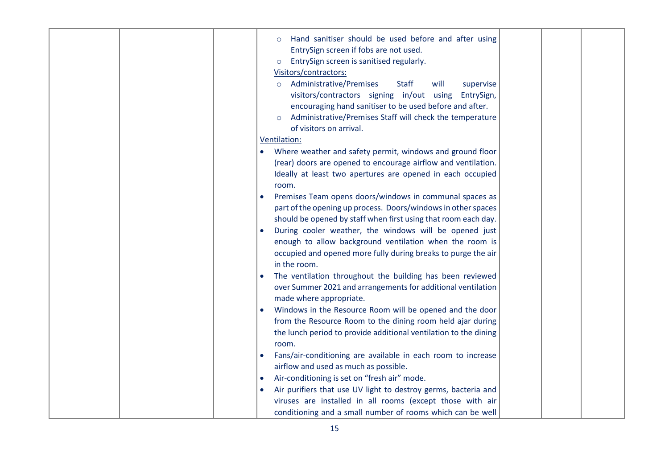| Hand sanitiser should be used before and after using<br>$\circ$<br>EntrySign screen if fobs are not used.<br>EntrySign screen is sanitised regularly.<br>$\circ$<br>Visitors/contractors:<br>o Administrative/Premises<br><b>Staff</b><br>will<br>supervise<br>visitors/contractors signing in/out using<br>EntrySign,<br>encouraging hand sanitiser to be used before and after.<br>Administrative/Premises Staff will check the temperature<br>of visitors on arrival.<br>Ventilation:<br>Where weather and safety permit, windows and ground floor<br>(rear) doors are opened to encourage airflow and ventilation.<br>Ideally at least two apertures are opened in each occupied<br>room.<br>Premises Team opens doors/windows in communal spaces as<br>$\bullet$<br>part of the opening up process. Doors/windows in other spaces<br>should be opened by staff when first using that room each day.<br>During cooler weather, the windows will be opened just<br>enough to allow background ventilation when the room is<br>occupied and opened more fully during breaks to purge the air<br>in the room.<br>The ventilation throughout the building has been reviewed<br>$\bullet$<br>over Summer 2021 and arrangements for additional ventilation<br>made where appropriate.<br>Windows in the Resource Room will be opened and the door<br>$\bullet$<br>from the Resource Room to the dining room held ajar during<br>the lunch period to provide additional ventilation to the dining<br>room.<br>Fans/air-conditioning are available in each room to increase<br>airflow and used as much as possible.<br>Air-conditioning is set on "fresh air" mode.<br>$\bullet$ |  |
|-------------------------------------------------------------------------------------------------------------------------------------------------------------------------------------------------------------------------------------------------------------------------------------------------------------------------------------------------------------------------------------------------------------------------------------------------------------------------------------------------------------------------------------------------------------------------------------------------------------------------------------------------------------------------------------------------------------------------------------------------------------------------------------------------------------------------------------------------------------------------------------------------------------------------------------------------------------------------------------------------------------------------------------------------------------------------------------------------------------------------------------------------------------------------------------------------------------------------------------------------------------------------------------------------------------------------------------------------------------------------------------------------------------------------------------------------------------------------------------------------------------------------------------------------------------------------------------------------------------------------------------------------------------------------------|--|
|                                                                                                                                                                                                                                                                                                                                                                                                                                                                                                                                                                                                                                                                                                                                                                                                                                                                                                                                                                                                                                                                                                                                                                                                                                                                                                                                                                                                                                                                                                                                                                                                                                                                               |  |
|                                                                                                                                                                                                                                                                                                                                                                                                                                                                                                                                                                                                                                                                                                                                                                                                                                                                                                                                                                                                                                                                                                                                                                                                                                                                                                                                                                                                                                                                                                                                                                                                                                                                               |  |
| Air purifiers that use UV light to destroy germs, bacteria and<br>$\bullet$                                                                                                                                                                                                                                                                                                                                                                                                                                                                                                                                                                                                                                                                                                                                                                                                                                                                                                                                                                                                                                                                                                                                                                                                                                                                                                                                                                                                                                                                                                                                                                                                   |  |
| viruses are installed in all rooms (except those with air                                                                                                                                                                                                                                                                                                                                                                                                                                                                                                                                                                                                                                                                                                                                                                                                                                                                                                                                                                                                                                                                                                                                                                                                                                                                                                                                                                                                                                                                                                                                                                                                                     |  |
| conditioning and a small number of rooms which can be well                                                                                                                                                                                                                                                                                                                                                                                                                                                                                                                                                                                                                                                                                                                                                                                                                                                                                                                                                                                                                                                                                                                                                                                                                                                                                                                                                                                                                                                                                                                                                                                                                    |  |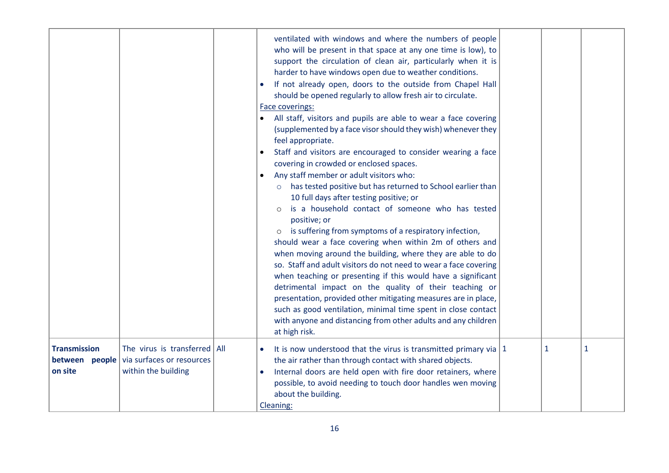|                                |                                                                                                          | ventilated with windows and where the numbers of people<br>who will be present in that space at any one time is low), to<br>support the circulation of clean air, particularly when it is<br>harder to have windows open due to weather conditions.<br>If not already open, doors to the outside from Chapel Hall<br>should be opened regularly to allow fresh air to circulate.<br>Face coverings:<br>All staff, visitors and pupils are able to wear a face covering<br>$\bullet$<br>(supplemented by a face visor should they wish) whenever they<br>feel appropriate.<br>Staff and visitors are encouraged to consider wearing a face<br>$\bullet$<br>covering in crowded or enclosed spaces.<br>Any staff member or adult visitors who:<br>$\bullet$<br>o has tested positive but has returned to School earlier than<br>10 full days after testing positive; or<br>is a household contact of someone who has tested<br>positive; or<br>o is suffering from symptoms of a respiratory infection,<br>should wear a face covering when within 2m of others and<br>when moving around the building, where they are able to do<br>so. Staff and adult visitors do not need to wear a face covering<br>when teaching or presenting if this would have a significant<br>detrimental impact on the quality of their teaching or<br>presentation, provided other mitigating measures are in place,<br>such as good ventilation, minimal time spent in close contact<br>with anyone and distancing from other adults and any children<br>at high risk. |              |   |
|--------------------------------|----------------------------------------------------------------------------------------------------------|----------------------------------------------------------------------------------------------------------------------------------------------------------------------------------------------------------------------------------------------------------------------------------------------------------------------------------------------------------------------------------------------------------------------------------------------------------------------------------------------------------------------------------------------------------------------------------------------------------------------------------------------------------------------------------------------------------------------------------------------------------------------------------------------------------------------------------------------------------------------------------------------------------------------------------------------------------------------------------------------------------------------------------------------------------------------------------------------------------------------------------------------------------------------------------------------------------------------------------------------------------------------------------------------------------------------------------------------------------------------------------------------------------------------------------------------------------------------------------------------------------------------------------------------------|--------------|---|
| <b>Transmission</b><br>on site | The virus is transferred   All<br><b>between people</b> via surfaces or resources<br>within the building | It is now understood that the virus is transmitted primary via $ 1 $<br>$\bullet$<br>the air rather than through contact with shared objects.<br>Internal doors are held open with fire door retainers, where<br>possible, to avoid needing to touch door handles wen moving<br>about the building.<br>Cleaning:                                                                                                                                                                                                                                                                                                                                                                                                                                                                                                                                                                                                                                                                                                                                                                                                                                                                                                                                                                                                                                                                                                                                                                                                                                   | $\mathbf{1}$ | 1 |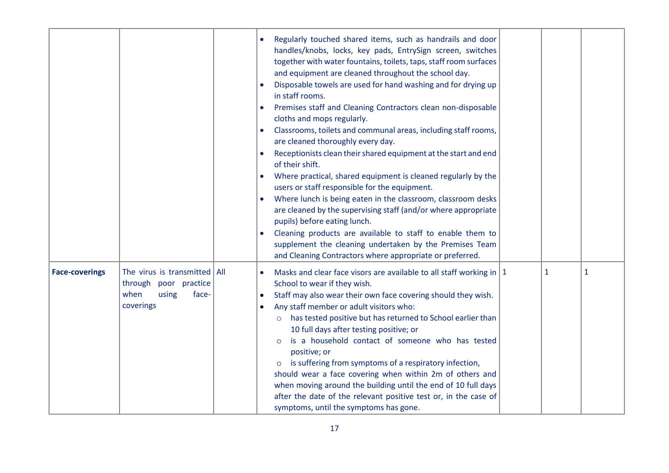|                       |                                                                                                         | Regularly touched shared items, such as handrails and door<br>handles/knobs, locks, key pads, EntrySign screen, switches<br>together with water fountains, toilets, taps, staff room surfaces<br>and equipment are cleaned throughout the school day.<br>Disposable towels are used for hand washing and for drying up<br>in staff rooms.<br>Premises staff and Cleaning Contractors clean non-disposable<br>$\bullet$<br>cloths and mops regularly.<br>Classrooms, toilets and communal areas, including staff rooms,<br>are cleaned thoroughly every day.<br>Receptionists clean their shared equipment at the start and end<br>of their shift.<br>Where practical, shared equipment is cleaned regularly by the<br>users or staff responsible for the equipment.<br>Where lunch is being eaten in the classroom, classroom desks<br>are cleaned by the supervising staff (and/or where appropriate<br>pupils) before eating lunch.<br>Cleaning products are available to staff to enable them to<br>supplement the cleaning undertaken by the Premises Team<br>and Cleaning Contractors where appropriate or preferred. |              |              |
|-----------------------|---------------------------------------------------------------------------------------------------------|----------------------------------------------------------------------------------------------------------------------------------------------------------------------------------------------------------------------------------------------------------------------------------------------------------------------------------------------------------------------------------------------------------------------------------------------------------------------------------------------------------------------------------------------------------------------------------------------------------------------------------------------------------------------------------------------------------------------------------------------------------------------------------------------------------------------------------------------------------------------------------------------------------------------------------------------------------------------------------------------------------------------------------------------------------------------------------------------------------------------------|--------------|--------------|
| <b>Face-coverings</b> | The virus is transmitted $\vert$ All<br>through<br>poor practice<br>when<br>using<br>face-<br>coverings | Masks and clear face visors are available to all staff working in $ 1$<br>School to wear if they wish.<br>Staff may also wear their own face covering should they wish.<br>Any staff member or adult visitors who:<br>has tested positive but has returned to School earlier than<br>$\circ$<br>10 full days after testing positive; or<br>is a household contact of someone who has tested<br>$\circ$<br>positive; or<br>is suffering from symptoms of a respiratory infection,<br>$\circ$<br>should wear a face covering when within 2m of others and<br>when moving around the building until the end of 10 full days<br>after the date of the relevant positive test or, in the case of<br>symptoms, until the symptoms has gone.                                                                                                                                                                                                                                                                                                                                                                                      | $\mathbf{1}$ | $\mathbf{1}$ |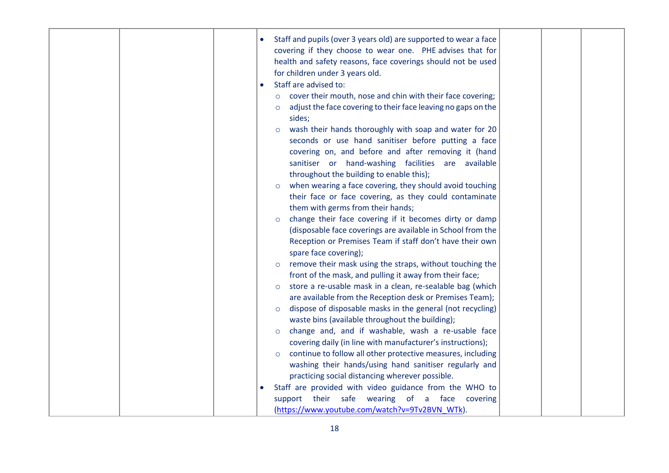| Staff and pupils (over 3 years old) are supported to wear a face<br>covering if they choose to wear one. PHE advises that for<br>health and safety reasons, face coverings should not be used<br>for children under 3 years old.<br>Staff are advised to:<br>$\bullet$<br>cover their mouth, nose and chin with their face covering;<br>$\circ$<br>adjust the face covering to their face leaving no gaps on the<br>$\circ$<br>sides;<br>wash their hands thoroughly with soap and water for 20<br>$\circ$<br>seconds or use hand sanitiser before putting a face<br>covering on, and before and after removing it (hand<br>sanitiser or hand-washing facilities are available<br>throughout the building to enable this);<br>when wearing a face covering, they should avoid touching<br>$\circ$<br>their face or face covering, as they could contaminate<br>them with germs from their hands;<br>change their face covering if it becomes dirty or damp<br>$\circ$<br>(disposable face coverings are available in School from the<br>Reception or Premises Team if staff don't have their own<br>spare face covering);<br>remove their mask using the straps, without touching the<br>$\circ$<br>front of the mask, and pulling it away from their face;<br>store a re-usable mask in a clean, re-sealable bag (which<br>$\circ$<br>are available from the Reception desk or Premises Team);<br>dispose of disposable masks in the general (not recycling)<br>waste bins (available throughout the building);<br>change and, and if washable, wash a re-usable face<br>$\circ$<br>covering daily (in line with manufacturer's instructions);<br>continue to follow all other protective measures, including<br>$\circ$<br>washing their hands/using hand sanitiser regularly and<br>practicing social distancing wherever possible. |  |
|----------------------------------------------------------------------------------------------------------------------------------------------------------------------------------------------------------------------------------------------------------------------------------------------------------------------------------------------------------------------------------------------------------------------------------------------------------------------------------------------------------------------------------------------------------------------------------------------------------------------------------------------------------------------------------------------------------------------------------------------------------------------------------------------------------------------------------------------------------------------------------------------------------------------------------------------------------------------------------------------------------------------------------------------------------------------------------------------------------------------------------------------------------------------------------------------------------------------------------------------------------------------------------------------------------------------------------------------------------------------------------------------------------------------------------------------------------------------------------------------------------------------------------------------------------------------------------------------------------------------------------------------------------------------------------------------------------------------------------------------------------------------------------------------------------------------------------------|--|
| Staff are provided with video guidance from the WHO to<br>support their safe wearing of a face covering<br>(https://www.youtube.com/watch?v=9Tv2BVN_WTk).                                                                                                                                                                                                                                                                                                                                                                                                                                                                                                                                                                                                                                                                                                                                                                                                                                                                                                                                                                                                                                                                                                                                                                                                                                                                                                                                                                                                                                                                                                                                                                                                                                                                              |  |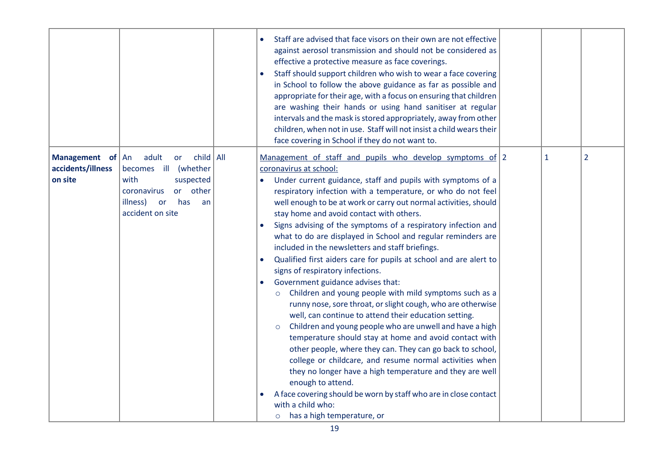|                                                  |                                                                                                                                                              | Staff are advised that face visors on their own are not effective<br>against aerosol transmission and should not be considered as<br>effective a protective measure as face coverings.<br>Staff should support children who wish to wear a face covering<br>in School to follow the above guidance as far as possible and<br>appropriate for their age, with a focus on ensuring that children<br>are washing their hands or using hand sanitiser at regular<br>intervals and the mask is stored appropriately, away from other<br>children, when not in use. Staff will not insist a child wears their<br>face covering in School if they do not want to.                                                                                                                                                                                                                                                                                                                                                                                                                                                                                                                                                                                                                                                                                    |   |                |
|--------------------------------------------------|--------------------------------------------------------------------------------------------------------------------------------------------------------------|-----------------------------------------------------------------------------------------------------------------------------------------------------------------------------------------------------------------------------------------------------------------------------------------------------------------------------------------------------------------------------------------------------------------------------------------------------------------------------------------------------------------------------------------------------------------------------------------------------------------------------------------------------------------------------------------------------------------------------------------------------------------------------------------------------------------------------------------------------------------------------------------------------------------------------------------------------------------------------------------------------------------------------------------------------------------------------------------------------------------------------------------------------------------------------------------------------------------------------------------------------------------------------------------------------------------------------------------------|---|----------------|
| Management of An<br>accidents/illness<br>on site | adult<br>child   All<br>or<br>becomes ill (whether<br>with<br>suspected<br>or other<br><b>coronavirus</b><br>has<br>illness)<br>or<br>an<br>accident on site | Management of staff and pupils who develop symptoms of 2<br>coronavirus at school:<br>Under current guidance, staff and pupils with symptoms of a<br>respiratory infection with a temperature, or who do not feel<br>well enough to be at work or carry out normal activities, should<br>stay home and avoid contact with others.<br>Signs advising of the symptoms of a respiratory infection and<br>what to do are displayed in School and regular reminders are<br>included in the newsletters and staff briefings.<br>Qualified first aiders care for pupils at school and are alert to<br>signs of respiratory infections.<br>Government guidance advises that:<br>Children and young people with mild symptoms such as a<br>$\circ$<br>runny nose, sore throat, or slight cough, who are otherwise<br>well, can continue to attend their education setting.<br>Children and young people who are unwell and have a high<br>$\circ$<br>temperature should stay at home and avoid contact with<br>other people, where they can. They can go back to school,<br>college or childcare, and resume normal activities when<br>they no longer have a high temperature and they are well<br>enough to attend.<br>A face covering should be worn by staff who are in close contact<br>with a child who:<br>has a high temperature, or<br>$\circ$ | 1 | $\overline{2}$ |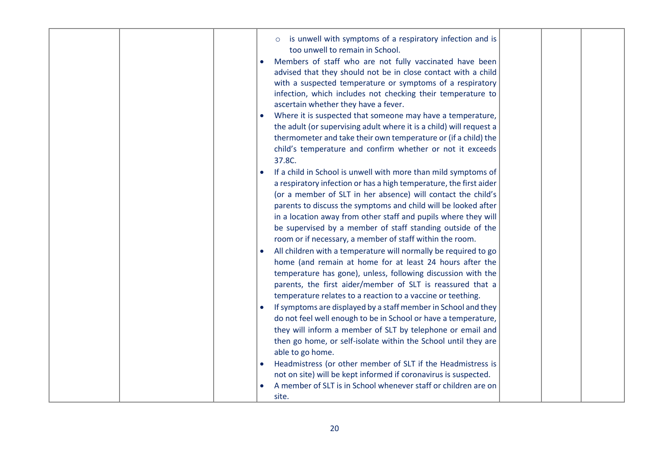|  | is unwell with symptoms of a respiratory infection and is<br>too unwell to remain in School.<br>Members of staff who are not fully vaccinated have been<br>advised that they should not be in close contact with a child<br>with a suspected temperature or symptoms of a respiratory<br>infection, which includes not checking their temperature to<br>ascertain whether they have a fever.<br>Where it is suspected that someone may have a temperature,<br>$\bullet$<br>the adult (or supervising adult where it is a child) will request a<br>thermometer and take their own temperature or (if a child) the<br>child's temperature and confirm whether or not it exceeds<br>37.8C.<br>If a child in School is unwell with more than mild symptoms of<br>a respiratory infection or has a high temperature, the first aider<br>(or a member of SLT in her absence) will contact the child's<br>parents to discuss the symptoms and child will be looked after<br>in a location away from other staff and pupils where they will<br>be supervised by a member of staff standing outside of the<br>room or if necessary, a member of staff within the room.<br>All children with a temperature will normally be required to go<br>$\bullet$<br>home (and remain at home for at least 24 hours after the<br>temperature has gone), unless, following discussion with the<br>parents, the first aider/member of SLT is reassured that a<br>temperature relates to a reaction to a vaccine or teething.<br>If symptoms are displayed by a staff member in School and they<br>$\bullet$<br>do not feel well enough to be in School or have a temperature,<br>they will inform a member of SLT by telephone or email and<br>then go home, or self-isolate within the School until they are<br>able to go home.<br>Headmistress (or other member of SLT if the Headmistress is<br>not on site) will be kept informed if coronavirus is suspected. |  |  |
|--|-----------------------------------------------------------------------------------------------------------------------------------------------------------------------------------------------------------------------------------------------------------------------------------------------------------------------------------------------------------------------------------------------------------------------------------------------------------------------------------------------------------------------------------------------------------------------------------------------------------------------------------------------------------------------------------------------------------------------------------------------------------------------------------------------------------------------------------------------------------------------------------------------------------------------------------------------------------------------------------------------------------------------------------------------------------------------------------------------------------------------------------------------------------------------------------------------------------------------------------------------------------------------------------------------------------------------------------------------------------------------------------------------------------------------------------------------------------------------------------------------------------------------------------------------------------------------------------------------------------------------------------------------------------------------------------------------------------------------------------------------------------------------------------------------------------------------------------------------------------------------------------------------------------------------------------------------|--|--|
|  | A member of SLT is in School whenever staff or children are on                                                                                                                                                                                                                                                                                                                                                                                                                                                                                                                                                                                                                                                                                                                                                                                                                                                                                                                                                                                                                                                                                                                                                                                                                                                                                                                                                                                                                                                                                                                                                                                                                                                                                                                                                                                                                                                                                |  |  |
|  | site.                                                                                                                                                                                                                                                                                                                                                                                                                                                                                                                                                                                                                                                                                                                                                                                                                                                                                                                                                                                                                                                                                                                                                                                                                                                                                                                                                                                                                                                                                                                                                                                                                                                                                                                                                                                                                                                                                                                                         |  |  |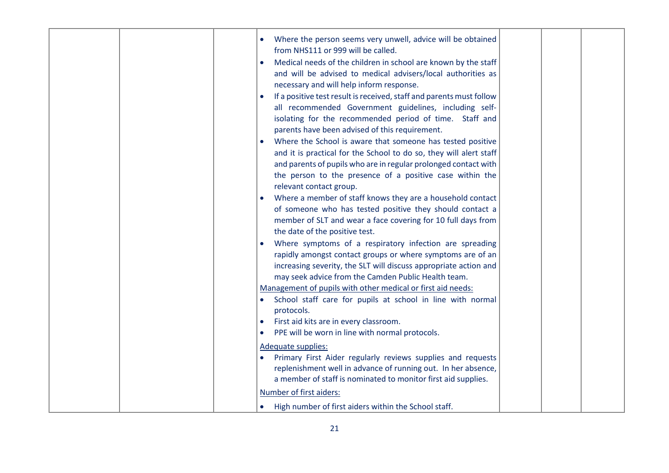| Where the person seems very unwell, advice will be obtained<br>$\bullet$<br>from NHS111 or 999 will be called.<br>Medical needs of the children in school are known by the staff<br>$\bullet$<br>and will be advised to medical advisers/local authorities as<br>necessary and will help inform response.<br>If a positive test result is received, staff and parents must follow<br>$\bullet$<br>all recommended Government guidelines, including self-<br>isolating for the recommended period of time. Staff and<br>parents have been advised of this requirement.<br>Where the School is aware that someone has tested positive<br>and it is practical for the School to do so, they will alert staff<br>and parents of pupils who are in regular prolonged contact with<br>the person to the presence of a positive case within the<br>relevant contact group.<br>Where a member of staff knows they are a household contact<br>of someone who has tested positive they should contact a<br>member of SLT and wear a face covering for 10 full days from<br>the date of the positive test.<br>Where symptoms of a respiratory infection are spreading<br>rapidly amongst contact groups or where symptoms are of an<br>increasing severity, the SLT will discuss appropriate action and<br>may seek advice from the Camden Public Health team.<br>Management of pupils with other medical or first aid needs:<br>School staff care for pupils at school in line with normal<br>$\bullet$<br>protocols.<br>First aid kits are in every classroom.<br>$\bullet$<br>PPE will be worn in line with normal protocols.<br>$\bullet$ |
|------------------------------------------------------------------------------------------------------------------------------------------------------------------------------------------------------------------------------------------------------------------------------------------------------------------------------------------------------------------------------------------------------------------------------------------------------------------------------------------------------------------------------------------------------------------------------------------------------------------------------------------------------------------------------------------------------------------------------------------------------------------------------------------------------------------------------------------------------------------------------------------------------------------------------------------------------------------------------------------------------------------------------------------------------------------------------------------------------------------------------------------------------------------------------------------------------------------------------------------------------------------------------------------------------------------------------------------------------------------------------------------------------------------------------------------------------------------------------------------------------------------------------------------------------------------------------------------------------------------------------------|
| Adequate supplies:<br>Primary First Aider regularly reviews supplies and requests<br>$\bullet$<br>replenishment well in advance of running out. In her absence,<br>a member of staff is nominated to monitor first aid supplies.<br>Number of first aiders:<br>High number of first aiders within the School staff.                                                                                                                                                                                                                                                                                                                                                                                                                                                                                                                                                                                                                                                                                                                                                                                                                                                                                                                                                                                                                                                                                                                                                                                                                                                                                                                |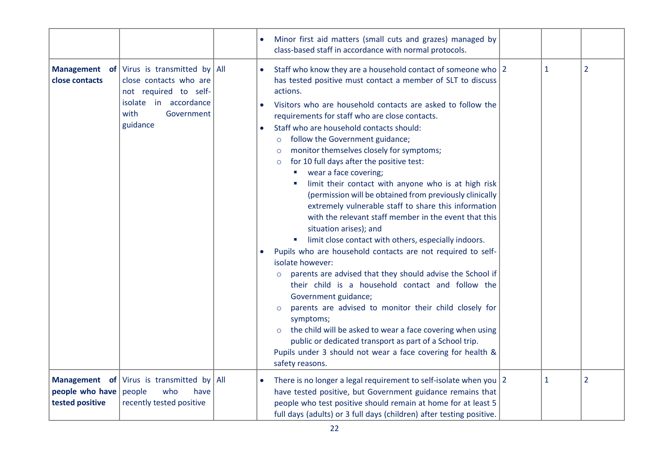|                                           |                                                                                                                                                                |                        | Minor first aid matters (small cuts and grazes) managed by<br>class-based staff in accordance with normal protocols.                                                                                                                                                                                                                                                                                                                                                                                                                                                                                                                                                                                                                                                                                                                                                                                                                                                                                                                                                                                                                                                                                                                                                                                                                                                          |              |                |
|-------------------------------------------|----------------------------------------------------------------------------------------------------------------------------------------------------------------|------------------------|-------------------------------------------------------------------------------------------------------------------------------------------------------------------------------------------------------------------------------------------------------------------------------------------------------------------------------------------------------------------------------------------------------------------------------------------------------------------------------------------------------------------------------------------------------------------------------------------------------------------------------------------------------------------------------------------------------------------------------------------------------------------------------------------------------------------------------------------------------------------------------------------------------------------------------------------------------------------------------------------------------------------------------------------------------------------------------------------------------------------------------------------------------------------------------------------------------------------------------------------------------------------------------------------------------------------------------------------------------------------------------|--------------|----------------|
| close contacts                            | <b>Management</b> of Virus is transmitted by All<br>close contacts who are<br>not required to self-<br>isolate in accordance<br>with<br>Government<br>guidance | $\bullet$<br>$\bullet$ | Staff who know they are a household contact of someone who $ 2$<br>has tested positive must contact a member of SLT to discuss<br>actions.<br>Visitors who are household contacts are asked to follow the<br>requirements for staff who are close contacts.<br>Staff who are household contacts should:<br>follow the Government guidance;<br>$\circ$<br>monitor themselves closely for symptoms;<br>$\circ$<br>for 10 full days after the positive test:<br>$\circ$<br>wear a face covering;<br>a.<br>limit their contact with anyone who is at high risk<br>(permission will be obtained from previously clinically<br>extremely vulnerable staff to share this information<br>with the relevant staff member in the event that this<br>situation arises); and<br>limit close contact with others, especially indoors.<br>ш<br>Pupils who are household contacts are not required to self-<br>isolate however:<br>parents are advised that they should advise the School if<br>$\circ$<br>their child is a household contact and follow the<br>Government guidance;<br>parents are advised to monitor their child closely for<br>$\circ$<br>symptoms;<br>the child will be asked to wear a face covering when using<br>$\circ$<br>public or dedicated transport as part of a School trip.<br>Pupils under 3 should not wear a face covering for health &<br>safety reasons. | $\mathbf{1}$ | $\overline{2}$ |
| people who have people<br>tested positive | <b>Management</b> of Virus is transmitted by $\left $ All<br>who<br>have<br>recently tested positive                                                           |                        | There is no longer a legal requirement to self-isolate when you $ 2$<br>have tested positive, but Government guidance remains that<br>people who test positive should remain at home for at least 5<br>full days (adults) or 3 full days (children) after testing positive.                                                                                                                                                                                                                                                                                                                                                                                                                                                                                                                                                                                                                                                                                                                                                                                                                                                                                                                                                                                                                                                                                                   | $\mathbf{1}$ | $\overline{2}$ |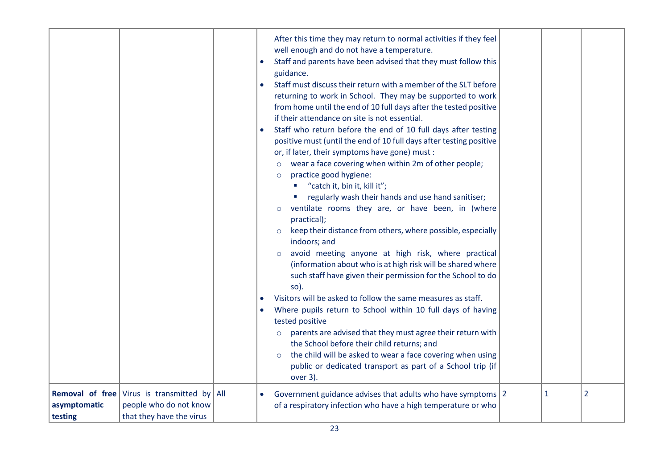|                         |                                                                                                   | $\bullet$<br>$\bullet$<br>$\bullet$<br>$\bullet$ | After this time they may return to normal activities if they feel<br>well enough and do not have a temperature.<br>Staff and parents have been advised that they must follow this<br>guidance.<br>Staff must discuss their return with a member of the SLT before<br>returning to work in School. They may be supported to work<br>from home until the end of 10 full days after the tested positive<br>if their attendance on site is not essential.<br>Staff who return before the end of 10 full days after testing<br>positive must (until the end of 10 full days after testing positive<br>or, if later, their symptoms have gone) must :<br>wear a face covering when within 2m of other people;<br>$\circ$<br>practice good hygiene:<br>$\circ$<br>" "catch it, bin it, kill it";<br>" regularly wash their hands and use hand sanitiser;<br>ventilate rooms they are, or have been, in (where<br>$\circ$<br>practical);<br>keep their distance from others, where possible, especially<br>$\circ$<br>indoors; and<br>avoid meeting anyone at high risk, where practical<br>$\circ$<br>(information about who is at high risk will be shared where<br>such staff have given their permission for the School to do<br>so).<br>Visitors will be asked to follow the same measures as staff.<br>Where pupils return to School within 10 full days of having<br>tested positive<br>parents are advised that they must agree their return with<br>$\circ$<br>the School before their child returns; and<br>the child will be asked to wear a face covering when using<br>$\circ$<br>public or dedicated transport as part of a School trip (if<br>over 3). |              |                |
|-------------------------|---------------------------------------------------------------------------------------------------|--------------------------------------------------|---------------------------------------------------------------------------------------------------------------------------------------------------------------------------------------------------------------------------------------------------------------------------------------------------------------------------------------------------------------------------------------------------------------------------------------------------------------------------------------------------------------------------------------------------------------------------------------------------------------------------------------------------------------------------------------------------------------------------------------------------------------------------------------------------------------------------------------------------------------------------------------------------------------------------------------------------------------------------------------------------------------------------------------------------------------------------------------------------------------------------------------------------------------------------------------------------------------------------------------------------------------------------------------------------------------------------------------------------------------------------------------------------------------------------------------------------------------------------------------------------------------------------------------------------------------------------------------------------------------------------------------------------------------|--------------|----------------|
| asymptomatic<br>testing | Removal of free Virus is transmitted by All<br>people who do not know<br>that they have the virus | $\bullet$                                        | Government guidance advises that adults who have symptoms 2<br>of a respiratory infection who have a high temperature or who                                                                                                                                                                                                                                                                                                                                                                                                                                                                                                                                                                                                                                                                                                                                                                                                                                                                                                                                                                                                                                                                                                                                                                                                                                                                                                                                                                                                                                                                                                                                  | $\mathbf{1}$ | $\overline{2}$ |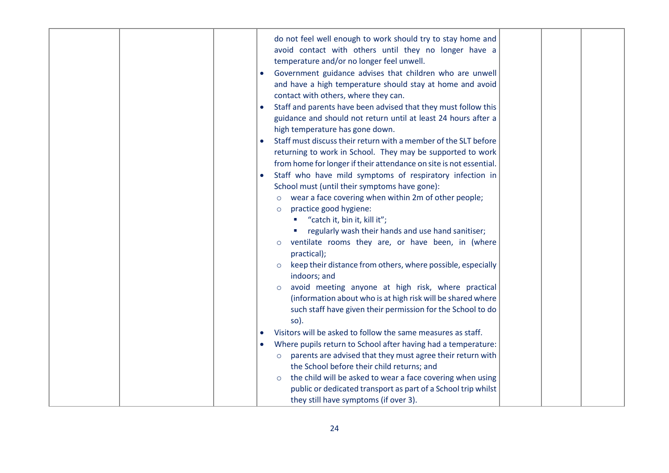| do not feel well enough to work should try to stay home and<br>avoid contact with others until they no longer have a<br>temperature and/or no longer feel unwell.<br>Government guidance advises that children who are unwell<br>and have a high temperature should stay at home and avoid<br>contact with others, where they can.<br>Staff and parents have been advised that they must follow this<br>$\bullet$<br>guidance and should not return until at least 24 hours after a<br>high temperature has gone down.<br>Staff must discuss their return with a member of the SLT before<br>$\bullet$<br>returning to work in School. They may be supported to work<br>from home for longer if their attendance on site is not essential.<br>Staff who have mild symptoms of respiratory infection in<br>School must (until their symptoms have gone):<br>wear a face covering when within 2m of other people;<br>$\circ$<br>practice good hygiene:<br>$\circ$<br>" "catch it, bin it, kill it";<br>" regularly wash their hands and use hand sanitiser;<br>ventilate rooms they are, or have been, in (where<br>$\circ$<br>practical);<br>keep their distance from others, where possible, especially<br>$\circ$<br>indoors; and<br>avoid meeting anyone at high risk, where practical<br>$\circ$<br>(information about who is at high risk will be shared where<br>such staff have given their permission for the School to do<br>so).<br>Visitors will be asked to follow the same measures as staff.<br>$\bullet$<br>Where pupils return to School after having had a temperature:<br>$\bullet$<br>parents are advised that they must agree their return with<br>$\circ$<br>the School before their child returns; and<br>the child will be asked to wear a face covering when using<br>$\circ$<br>public or dedicated transport as part of a School trip whilst<br>they still have symptoms (if over 3). |  |  |
|----------------------------------------------------------------------------------------------------------------------------------------------------------------------------------------------------------------------------------------------------------------------------------------------------------------------------------------------------------------------------------------------------------------------------------------------------------------------------------------------------------------------------------------------------------------------------------------------------------------------------------------------------------------------------------------------------------------------------------------------------------------------------------------------------------------------------------------------------------------------------------------------------------------------------------------------------------------------------------------------------------------------------------------------------------------------------------------------------------------------------------------------------------------------------------------------------------------------------------------------------------------------------------------------------------------------------------------------------------------------------------------------------------------------------------------------------------------------------------------------------------------------------------------------------------------------------------------------------------------------------------------------------------------------------------------------------------------------------------------------------------------------------------------------------------------------------------------------------------------------------------------------------------------|--|--|
|----------------------------------------------------------------------------------------------------------------------------------------------------------------------------------------------------------------------------------------------------------------------------------------------------------------------------------------------------------------------------------------------------------------------------------------------------------------------------------------------------------------------------------------------------------------------------------------------------------------------------------------------------------------------------------------------------------------------------------------------------------------------------------------------------------------------------------------------------------------------------------------------------------------------------------------------------------------------------------------------------------------------------------------------------------------------------------------------------------------------------------------------------------------------------------------------------------------------------------------------------------------------------------------------------------------------------------------------------------------------------------------------------------------------------------------------------------------------------------------------------------------------------------------------------------------------------------------------------------------------------------------------------------------------------------------------------------------------------------------------------------------------------------------------------------------------------------------------------------------------------------------------------------------|--|--|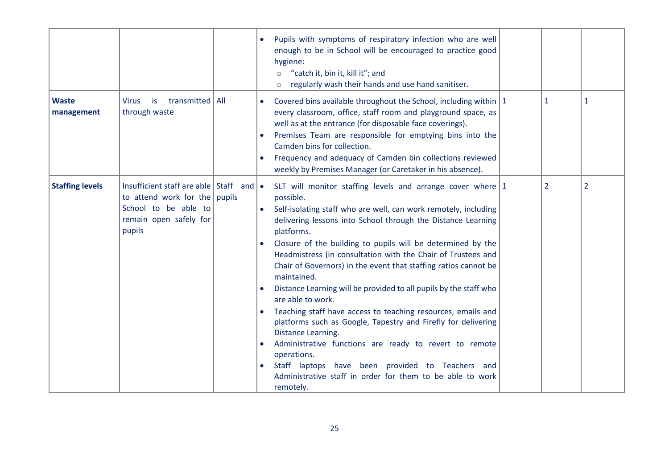|                            |                                                                                           |           | Pupils with symptoms of respiratory infection who are well<br>enough to be in School will be encouraged to practice good<br>hygiene:<br>$\circ$ "catch it, bin it, kill it"; and<br>regularly wash their hands and use hand sanitiser.<br>$\circ$                                                                                                                                                                                                                                                                                                                                                                                                                                                                                                                                                                                                                                                                                                                                            |                |                |
|----------------------------|-------------------------------------------------------------------------------------------|-----------|----------------------------------------------------------------------------------------------------------------------------------------------------------------------------------------------------------------------------------------------------------------------------------------------------------------------------------------------------------------------------------------------------------------------------------------------------------------------------------------------------------------------------------------------------------------------------------------------------------------------------------------------------------------------------------------------------------------------------------------------------------------------------------------------------------------------------------------------------------------------------------------------------------------------------------------------------------------------------------------------|----------------|----------------|
| <b>Waste</b><br>management | is<br>transmitted   All<br><b>Virus</b><br>through waste                                  | $\bullet$ | Covered bins available throughout the School, including within $ 1$<br>every classroom, office, staff room and playground space, as<br>well as at the entrance (for disposable face coverings).<br>Premises Team are responsible for emptying bins into the<br>Camden bins for collection.<br>Frequency and adequacy of Camden bin collections reviewed<br>weekly by Premises Manager (or Caretaker in his absence).                                                                                                                                                                                                                                                                                                                                                                                                                                                                                                                                                                         | 1              | $\mathbf{1}$   |
| <b>Staffing levels</b>     | to attend work for the pupils<br>School to be able to<br>remain open safely for<br>pupils | $\bullet$ | Insufficient staff are able $ \text{Staff} \text{ and }  \bullet \text{ SLT} \text{ will monitor staffing levels and arrange cover where }  1$<br>possible.<br>Self-isolating staff who are well, can work remotely, including<br>delivering lessons into School through the Distance Learning<br>platforms.<br>Closure of the building to pupils will be determined by the<br>Headmistress (in consultation with the Chair of Trustees and<br>Chair of Governors) in the event that staffing ratios cannot be<br>maintained.<br>Distance Learning will be provided to all pupils by the staff who<br>are able to work.<br>Teaching staff have access to teaching resources, emails and<br>platforms such as Google, Tapestry and Firefly for delivering<br><b>Distance Learning.</b><br>Administrative functions are ready to revert to remote<br>operations.<br>Staff laptops have been provided to Teachers and<br>Administrative staff in order for them to be able to work<br>remotely. | $\overline{2}$ | $\overline{2}$ |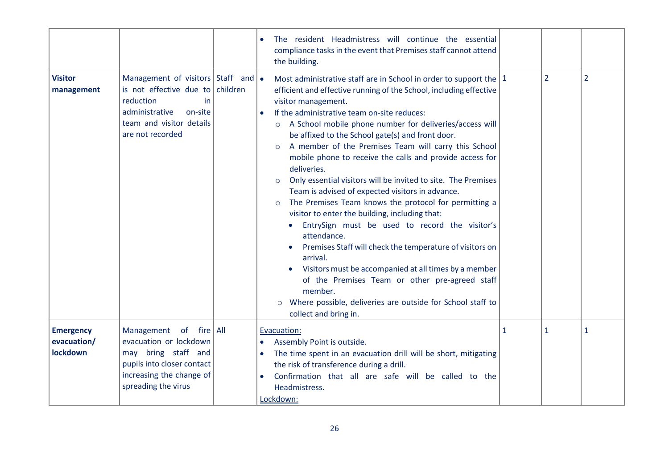|                                             |                                                                                                                                                                                | The resident Headmistress will continue the essential<br>compliance tasks in the event that Premises staff cannot attend<br>the building.                                                                                                                                                                                                                                                                                                                                                                                                                                                                                                                                                                                                                                                                                                                                                                                                                                                                                                                                                   |              |                |                |
|---------------------------------------------|--------------------------------------------------------------------------------------------------------------------------------------------------------------------------------|---------------------------------------------------------------------------------------------------------------------------------------------------------------------------------------------------------------------------------------------------------------------------------------------------------------------------------------------------------------------------------------------------------------------------------------------------------------------------------------------------------------------------------------------------------------------------------------------------------------------------------------------------------------------------------------------------------------------------------------------------------------------------------------------------------------------------------------------------------------------------------------------------------------------------------------------------------------------------------------------------------------------------------------------------------------------------------------------|--------------|----------------|----------------|
| <b>Visitor</b><br>management                | Management of visitors Staff and $\bullet$<br>is not effective due to children<br>reduction<br>in<br>administrative<br>on-site<br>team and visitor details<br>are not recorded | Most administrative staff are in School in order to support the $ 1$<br>efficient and effective running of the School, including effective<br>visitor management.<br>If the administrative team on-site reduces:<br>A School mobile phone number for deliveries/access will<br>$\circ$<br>be affixed to the School gate(s) and front door.<br>A member of the Premises Team will carry this School<br>mobile phone to receive the calls and provide access for<br>deliveries.<br>Only essential visitors will be invited to site. The Premises<br>$\circ$<br>Team is advised of expected visitors in advance.<br>The Premises Team knows the protocol for permitting a<br>$\circ$<br>visitor to enter the building, including that:<br>EntrySign must be used to record the visitor's<br>attendance.<br>Premises Staff will check the temperature of visitors on<br>arrival.<br>Visitors must be accompanied at all times by a member<br>of the Premises Team or other pre-agreed staff<br>member.<br>o Where possible, deliveries are outside for School staff to<br>collect and bring in. |              | $\overline{2}$ | $\overline{2}$ |
| <b>Emergency</b><br>evacuation/<br>lockdown | Management of fire All<br>evacuation or lockdown<br>may bring staff and<br>pupils into closer contact<br>increasing the change of<br>spreading the virus                       | Evacuation:<br>Assembly Point is outside.<br>The time spent in an evacuation drill will be short, mitigating<br>$\bullet$<br>the risk of transference during a drill.<br>Confirmation that all are safe will be called to the<br>Headmistress.<br>Lockdown:                                                                                                                                                                                                                                                                                                                                                                                                                                                                                                                                                                                                                                                                                                                                                                                                                                 | $\mathbf{1}$ | $\mathbf{1}$   | 1              |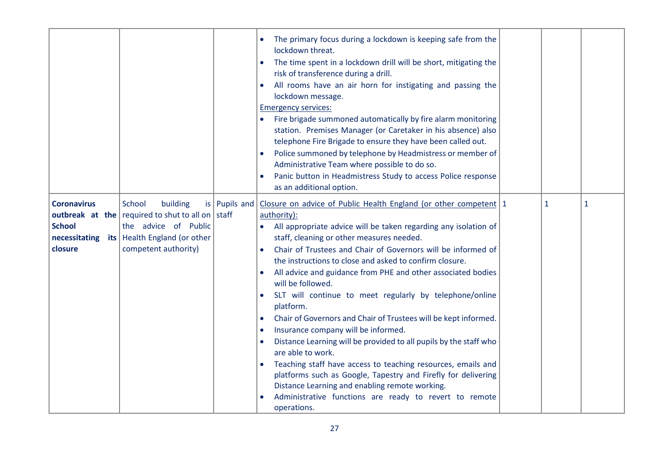|                                                |                                                                                                                                                                                      |                     | The primary focus during a lockdown is keeping safe from the<br>lockdown threat.<br>The time spent in a lockdown drill will be short, mitigating the<br>risk of transference during a drill.<br>All rooms have an air horn for instigating and passing the<br>lockdown message.<br><b>Emergency services:</b><br>Fire brigade summoned automatically by fire alarm monitoring<br>$\bullet$<br>station. Premises Manager (or Caretaker in his absence) also<br>telephone Fire Brigade to ensure they have been called out.<br>Police summoned by telephone by Headmistress or member of<br>Administrative Team where possible to do so.<br>Panic button in Headmistress Study to access Police response<br>as an additional option.                                                                                                                                                                                                                                                             |   |   |
|------------------------------------------------|--------------------------------------------------------------------------------------------------------------------------------------------------------------------------------------|---------------------|------------------------------------------------------------------------------------------------------------------------------------------------------------------------------------------------------------------------------------------------------------------------------------------------------------------------------------------------------------------------------------------------------------------------------------------------------------------------------------------------------------------------------------------------------------------------------------------------------------------------------------------------------------------------------------------------------------------------------------------------------------------------------------------------------------------------------------------------------------------------------------------------------------------------------------------------------------------------------------------------|---|---|
| <b>Coronavirus</b><br><b>School</b><br>closure | School<br>building<br><b>outbreak</b> at the required to shut to all on staff<br>the advice of Public<br><b>necessitating</b> its   Health England (or other<br>competent authority) | is   Pupils and $ $ | Closure on advice of Public Health England (or other competent 1<br>authority):<br>All appropriate advice will be taken regarding any isolation of<br>$\bullet$<br>staff, cleaning or other measures needed.<br>Chair of Trustees and Chair of Governors will be informed of<br>the instructions to close and asked to confirm closure.<br>All advice and guidance from PHE and other associated bodies<br>will be followed.<br>SLT will continue to meet regularly by telephone/online<br>platform.<br>Chair of Governors and Chair of Trustees will be kept informed.<br>$\bullet$<br>Insurance company will be informed.<br>$\bullet$<br>Distance Learning will be provided to all pupils by the staff who<br>are able to work.<br>Teaching staff have access to teaching resources, emails and<br>platforms such as Google, Tapestry and Firefly for delivering<br>Distance Learning and enabling remote working.<br>Administrative functions are ready to revert to remote<br>operations. | 1 | 1 |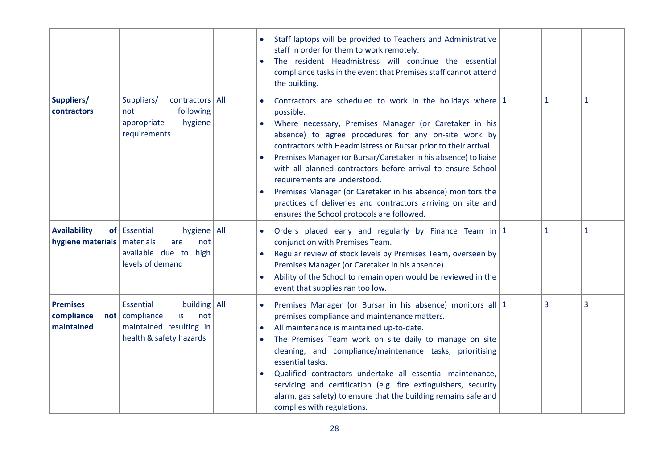|                                                      |                                                                                                                    | Staff laptops will be provided to Teachers and Administrative<br>staff in order for them to work remotely.<br>The resident Headmistress will continue the essential<br>compliance tasks in the event that Premises staff cannot attend<br>the building.                                                                                                                                                                                                                                                                                                                                                        |              |              |
|------------------------------------------------------|--------------------------------------------------------------------------------------------------------------------|----------------------------------------------------------------------------------------------------------------------------------------------------------------------------------------------------------------------------------------------------------------------------------------------------------------------------------------------------------------------------------------------------------------------------------------------------------------------------------------------------------------------------------------------------------------------------------------------------------------|--------------|--------------|
| Suppliers/<br>contractors                            | Suppliers/<br>contractors   All<br>following<br>not<br>appropriate<br>hygiene<br>requirements                      | Contractors are scheduled to work in the holidays where $ 1$<br>possible.<br>Where necessary, Premises Manager (or Caretaker in his<br>absence) to agree procedures for any on-site work by<br>contractors with Headmistress or Bursar prior to their arrival.<br>Premises Manager (or Bursar/Caretaker in his absence) to liaise<br>with all planned contractors before arrival to ensure School<br>requirements are understood.<br>Premises Manager (or Caretaker in his absence) monitors the<br>practices of deliveries and contractors arriving on site and<br>ensures the School protocols are followed. | 1            | $\mathbf{1}$ |
| <b>Availability</b><br>hygiene materials   materials | of Essential<br>hygiene   All<br>are<br>not<br>available due to high<br>levels of demand                           | Orders placed early and regularly by Finance Team in $ 1$<br>conjunction with Premises Team.<br>Regular review of stock levels by Premises Team, overseen by<br>Premises Manager (or Caretaker in his absence).<br>Ability of the School to remain open would be reviewed in the<br>$\bullet$<br>event that supplies ran too low.                                                                                                                                                                                                                                                                              | $\mathbf{1}$ | $\mathbf{1}$ |
| <b>Premises</b><br>compliance<br>maintained          | building   All<br>Essential<br>not   compliance<br>is<br>not<br>maintained resulting in<br>health & safety hazards | Premises Manager (or Bursar in his absence) monitors all $ 1$<br>premises compliance and maintenance matters.<br>All maintenance is maintained up-to-date.<br>$\bullet$<br>The Premises Team work on site daily to manage on site<br>$\bullet$<br>cleaning, and compliance/maintenance tasks, prioritising<br>essential tasks.<br>Qualified contractors undertake all essential maintenance,<br>servicing and certification (e.g. fire extinguishers, security<br>alarm, gas safety) to ensure that the building remains safe and<br>complies with regulations.                                                | 3            | 3            |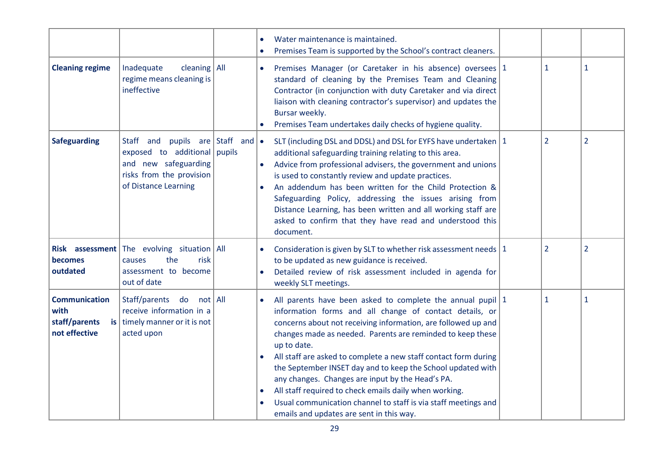|                                                                |                                                                                                                                                      |                        | Water maintenance is maintained.                                                                                                                                                                                                                                                                                                                                                                                                                                                                                                                                                                                                      |  |                |                |
|----------------------------------------------------------------|------------------------------------------------------------------------------------------------------------------------------------------------------|------------------------|---------------------------------------------------------------------------------------------------------------------------------------------------------------------------------------------------------------------------------------------------------------------------------------------------------------------------------------------------------------------------------------------------------------------------------------------------------------------------------------------------------------------------------------------------------------------------------------------------------------------------------------|--|----------------|----------------|
|                                                                |                                                                                                                                                      | $\bullet$              | Premises Team is supported by the School's contract cleaners.                                                                                                                                                                                                                                                                                                                                                                                                                                                                                                                                                                         |  |                |                |
| <b>Cleaning regime</b>                                         | Inadequate<br>cleaning $\vert$ All<br>regime means cleaning is<br>ineffective                                                                        | $\bullet$              | Premises Manager (or Caretaker in his absence) oversees 1<br>standard of cleaning by the Premises Team and Cleaning<br>Contractor (in conjunction with duty Caretaker and via direct<br>liaison with cleaning contractor's supervisor) and updates the<br>Bursar weekly.<br>Premises Team undertakes daily checks of hygiene quality.                                                                                                                                                                                                                                                                                                 |  | $\mathbf{1}$   | $\mathbf{1}$   |
| <b>Safeguarding</b>                                            | Staff and pupils are Staff and $\bullet$<br>exposed to additional pupils<br>and new safeguarding<br>risks from the provision<br>of Distance Learning |                        | SLT (including DSL and DDSL) and DSL for EYFS have undertaken   1<br>additional safeguarding training relating to this area.<br>Advice from professional advisers, the government and unions<br>is used to constantly review and update practices.<br>An addendum has been written for the Child Protection &<br>Safeguarding Policy, addressing the issues arising from<br>Distance Learning, has been written and all working staff are<br>asked to confirm that they have read and understood this<br>document.                                                                                                                    |  | $\overline{2}$ | $\overline{2}$ |
| <b>becomes</b><br>outdated                                     | <b>Risk assessment</b> The evolving situation All<br>the<br>risk<br>causes<br>assessment to become<br>out of date                                    | $\bullet$              | Consideration is given by SLT to whether risk assessment needs   1<br>to be updated as new guidance is received.<br>Detailed review of risk assessment included in agenda for<br>weekly SLT meetings.                                                                                                                                                                                                                                                                                                                                                                                                                                 |  | $\overline{2}$ | $\overline{2}$ |
| <b>Communication</b><br>with<br>staff/parents<br>not effective | Staff/parents do<br>not   All<br>receive information in a<br>$is$ timely manner or it is not<br>acted upon                                           | $\bullet$<br>$\bullet$ | All parents have been asked to complete the annual pupil $ 1 $<br>information forms and all change of contact details, or<br>concerns about not receiving information, are followed up and<br>changes made as needed. Parents are reminded to keep these<br>up to date.<br>All staff are asked to complete a new staff contact form during<br>the September INSET day and to keep the School updated with<br>any changes. Changes are input by the Head's PA.<br>All staff required to check emails daily when working.<br>Usual communication channel to staff is via staff meetings and<br>emails and updates are sent in this way. |  | $\mathbf{1}$   | $\mathbf{1}$   |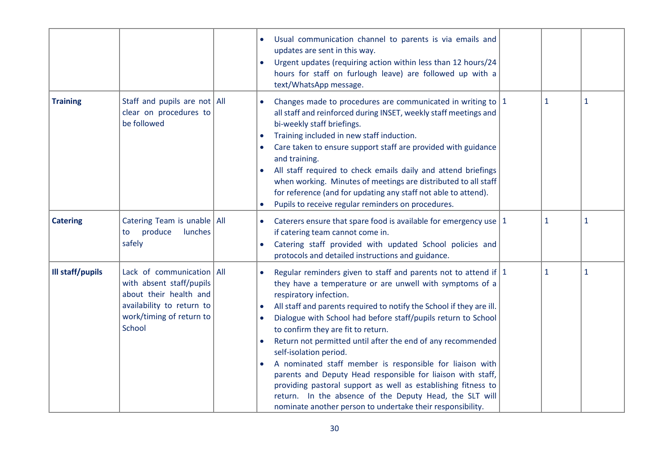|                  |                                                                                                                                                      | Usual communication channel to parents is via emails and<br>updates are sent in this way.<br>Urgent updates (requiring action within less than 12 hours/24<br>hours for staff on furlough leave) are followed up with a<br>text/WhatsApp message.                                                                                                                                                                                                                                                                                                                                                                                                                                                                                                                  |              |              |
|------------------|------------------------------------------------------------------------------------------------------------------------------------------------------|--------------------------------------------------------------------------------------------------------------------------------------------------------------------------------------------------------------------------------------------------------------------------------------------------------------------------------------------------------------------------------------------------------------------------------------------------------------------------------------------------------------------------------------------------------------------------------------------------------------------------------------------------------------------------------------------------------------------------------------------------------------------|--------------|--------------|
| <b>Training</b>  | Staff and pupils are not $\vert$ All<br>clear on procedures to<br>be followed                                                                        | Changes made to procedures are communicated in writing to $ 1$<br>all staff and reinforced during INSET, weekly staff meetings and<br>bi-weekly staff briefings.<br>Training included in new staff induction.<br>Care taken to ensure support staff are provided with guidance<br>and training.<br>All staff required to check emails daily and attend briefings<br>when working. Minutes of meetings are distributed to all staff<br>for reference (and for updating any staff not able to attend).<br>Pupils to receive regular reminders on procedures.                                                                                                                                                                                                         | $\mathbf{1}$ | $\mathbf{1}$ |
| <b>Catering</b>  | Catering Team is unable   All<br>produce<br>lunches<br>to<br>safely                                                                                  | Caterers ensure that spare food is available for emergency use $ 1 $<br>if catering team cannot come in.<br>Catering staff provided with updated School policies and<br>protocols and detailed instructions and guidance.                                                                                                                                                                                                                                                                                                                                                                                                                                                                                                                                          | $\mathbf{1}$ | $\mathbf{1}$ |
| Ill staff/pupils | Lack of communication   All<br>with absent staff/pupils<br>about their health and<br>availability to return to<br>work/timing of return to<br>School | Regular reminders given to staff and parents not to attend if $ 1$<br>they have a temperature or are unwell with symptoms of a<br>respiratory infection.<br>All staff and parents required to notify the School if they are ill.<br>Dialogue with School had before staff/pupils return to School<br>$\bullet$<br>to confirm they are fit to return.<br>Return not permitted until after the end of any recommended<br>self-isolation period.<br>A nominated staff member is responsible for liaison with<br>parents and Deputy Head responsible for liaison with staff,<br>providing pastoral support as well as establishing fitness to<br>return. In the absence of the Deputy Head, the SLT will<br>nominate another person to undertake their responsibility. | $\mathbf{1}$ | $\mathbf{1}$ |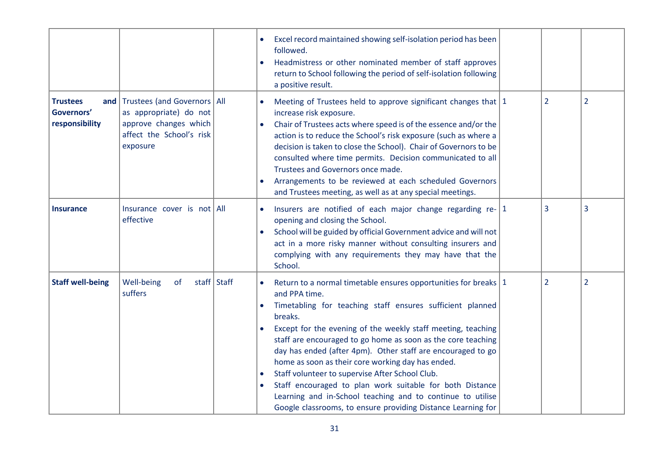|                                                 |                                                                                                                              |               | Excel record maintained showing self-isolation period has been<br>followed.<br>Headmistress or other nominated member of staff approves<br>return to School following the period of self-isolation following<br>a positive result.                                                                                                                                                                                                                                                                                                                                                                                                                           |                |                |
|-------------------------------------------------|------------------------------------------------------------------------------------------------------------------------------|---------------|--------------------------------------------------------------------------------------------------------------------------------------------------------------------------------------------------------------------------------------------------------------------------------------------------------------------------------------------------------------------------------------------------------------------------------------------------------------------------------------------------------------------------------------------------------------------------------------------------------------------------------------------------------------|----------------|----------------|
| <b>Trustees</b><br>Governors'<br>responsibility | and Trustees (and Governors   All<br>as appropriate) do not<br>approve changes which<br>affect the School's risk<br>exposure |               | Meeting of Trustees held to approve significant changes that $ 1$<br>increase risk exposure.<br>Chair of Trustees acts where speed is of the essence and/or the<br>action is to reduce the School's risk exposure (such as where a<br>decision is taken to close the School). Chair of Governors to be<br>consulted where time permits. Decision communicated to all<br>Trustees and Governors once made.<br>Arrangements to be reviewed at each scheduled Governors<br>and Trustees meeting, as well as at any special meetings.                                                                                                                            | $\overline{2}$ | $\overline{2}$ |
| <b>Insurance</b>                                | Insurance cover is not $\vert$ All<br>effective                                                                              |               | Insurers are notified of each major change regarding re- $ 1$<br>opening and closing the School.<br>School will be guided by official Government advice and will not<br>act in a more risky manner without consulting insurers and<br>complying with any requirements they may have that the<br>School.                                                                                                                                                                                                                                                                                                                                                      | 3              | 3              |
| <b>Staff well-being</b>                         | Well-being<br>of<br>suffers                                                                                                  | staff   Staff | Return to a normal timetable ensures opportunities for breaks $ 1$<br>and PPA time.<br>Timetabling for teaching staff ensures sufficient planned<br>breaks.<br>Except for the evening of the weekly staff meeting, teaching<br>staff are encouraged to go home as soon as the core teaching<br>day has ended (after 4pm). Other staff are encouraged to go<br>home as soon as their core working day has ended.<br>Staff volunteer to supervise After School Club.<br>Staff encouraged to plan work suitable for both Distance<br>Learning and in-School teaching and to continue to utilise<br>Google classrooms, to ensure providing Distance Learning for | $\overline{2}$ | $\overline{2}$ |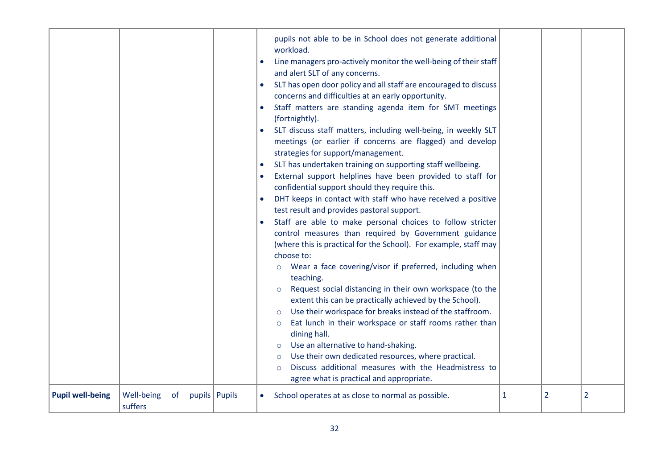|                         |                             |                 | pupils not able to be in School does not generate additional<br>workload.                                                                                                                                                                                                                                                                                                                                                                                                                                                                                                                                                                                      |   |                |                |
|-------------------------|-----------------------------|-----------------|----------------------------------------------------------------------------------------------------------------------------------------------------------------------------------------------------------------------------------------------------------------------------------------------------------------------------------------------------------------------------------------------------------------------------------------------------------------------------------------------------------------------------------------------------------------------------------------------------------------------------------------------------------------|---|----------------|----------------|
|                         |                             |                 | Line managers pro-actively monitor the well-being of their staff<br>$\bullet$<br>and alert SLT of any concerns.<br>SLT has open door policy and all staff are encouraged to discuss<br>concerns and difficulties at an early opportunity.<br>Staff matters are standing agenda item for SMT meetings<br>$\bullet$<br>(fortnightly).<br>SLT discuss staff matters, including well-being, in weekly SLT<br>meetings (or earlier if concerns are flagged) and develop<br>strategies for support/management.<br>SLT has undertaken training on supporting staff wellbeing.<br>$\bullet$<br>External support helplines have been provided to staff for<br>$\bullet$ |   |                |                |
|                         |                             |                 | confidential support should they require this.<br>DHT keeps in contact with staff who have received a positive<br>$\bullet$<br>test result and provides pastoral support.<br>Staff are able to make personal choices to follow stricter<br>$\bullet$<br>control measures than required by Government guidance<br>(where this is practical for the School). For example, staff may<br>choose to:<br>Wear a face covering/visor if preferred, including when<br>$\circ$<br>teaching.<br>Request social distancing in their own workspace (to the<br>$\circ$                                                                                                      |   |                |                |
|                         |                             |                 | extent this can be practically achieved by the School).<br>Use their workspace for breaks instead of the staffroom.<br>$\circ$<br>Eat lunch in their workspace or staff rooms rather than<br>$\circ$<br>dining hall.<br>Use an alternative to hand-shaking.<br>$\circ$<br>Use their own dedicated resources, where practical.<br>$\circ$<br>Discuss additional measures with the Headmistress to<br>$\circ$<br>agree what is practical and appropriate.                                                                                                                                                                                                        |   |                |                |
| <b>Pupil well-being</b> | Well-being<br>of<br>suffers | pupils   Pupils | School operates at as close to normal as possible.<br>$\bullet$                                                                                                                                                                                                                                                                                                                                                                                                                                                                                                                                                                                                | 1 | $\overline{2}$ | $\overline{2}$ |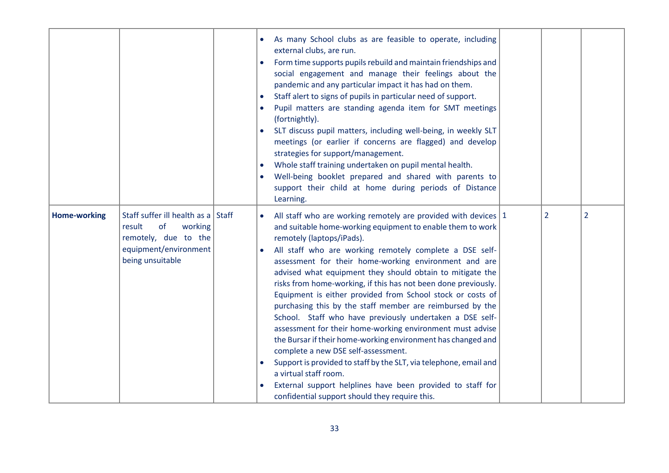|                     |                                                                                                                                    |  | As many School clubs as are feasible to operate, including<br>external clubs, are run.<br>Form time supports pupils rebuild and maintain friendships and<br>social engagement and manage their feelings about the<br>pandemic and any particular impact it has had on them.<br>Staff alert to signs of pupils in particular need of support.<br>Pupil matters are standing agenda item for SMT meetings<br>(fortnightly).<br>SLT discuss pupil matters, including well-being, in weekly SLT<br>meetings (or earlier if concerns are flagged) and develop<br>strategies for support/management.<br>Whole staff training undertaken on pupil mental health.<br>Well-being booklet prepared and shared with parents to<br>support their child at home during periods of Distance<br>Learning.                                                                                                                                                                                               |                |                |
|---------------------|------------------------------------------------------------------------------------------------------------------------------------|--|------------------------------------------------------------------------------------------------------------------------------------------------------------------------------------------------------------------------------------------------------------------------------------------------------------------------------------------------------------------------------------------------------------------------------------------------------------------------------------------------------------------------------------------------------------------------------------------------------------------------------------------------------------------------------------------------------------------------------------------------------------------------------------------------------------------------------------------------------------------------------------------------------------------------------------------------------------------------------------------|----------------|----------------|
| <b>Home-working</b> | Staff suffer ill health as a Staff<br>result<br>of<br>working<br>remotely, due to the<br>equipment/environment<br>being unsuitable |  | All staff who are working remotely are provided with devices $ 1$<br>and suitable home-working equipment to enable them to work<br>remotely (laptops/iPads).<br>All staff who are working remotely complete a DSE self-<br>assessment for their home-working environment and are<br>advised what equipment they should obtain to mitigate the<br>risks from home-working, if this has not been done previously.<br>Equipment is either provided from School stock or costs of<br>purchasing this by the staff member are reimbursed by the<br>School. Staff who have previously undertaken a DSE self-<br>assessment for their home-working environment must advise<br>the Bursar if their home-working environment has changed and<br>complete a new DSE self-assessment.<br>Support is provided to staff by the SLT, via telephone, email and<br>a virtual staff room.<br>External support helplines have been provided to staff for<br>confidential support should they require this. | $\overline{2}$ | $\overline{2}$ |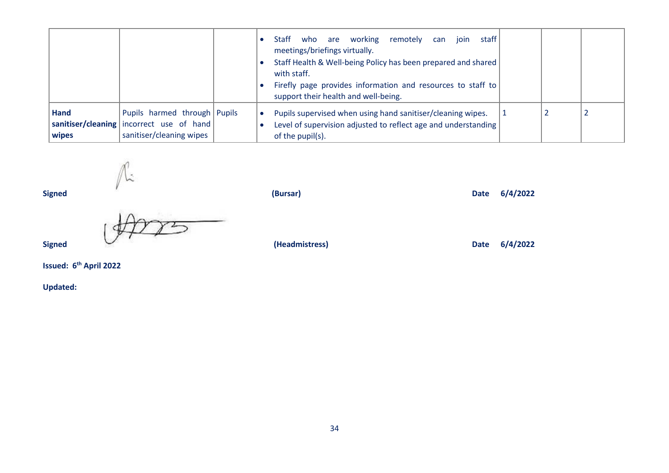|               |                                                                                                      | who are working<br>join<br>staff<br>Staff<br>remotely<br>can<br>meetings/briefings virtually.<br>Staff Health & Well-being Policy has been prepared and shared<br>with staff.<br>Firefly page provides information and resources to staff to<br>support their health and well-being. |  |
|---------------|------------------------------------------------------------------------------------------------------|--------------------------------------------------------------------------------------------------------------------------------------------------------------------------------------------------------------------------------------------------------------------------------------|--|
| Hand<br>wipes | Pupils harmed through Pupils<br>sanitiser/cleaning incorrect use of hand<br>sanitiser/cleaning wipes | Pupils supervised when using hand sanitiser/cleaning wipes.<br>Level of supervision adjusted to reflect age and understanding<br>of the pupil(s).                                                                                                                                    |  |

**Signed (Bursar) Date 6/4/2022**<br> **Date 6/4/2022 Signed** COMPOSITY CHERGIST CHERGIST (Headmistress) Date 6/4/2022

**Issued: 6 th April 2022**

**Updated:**